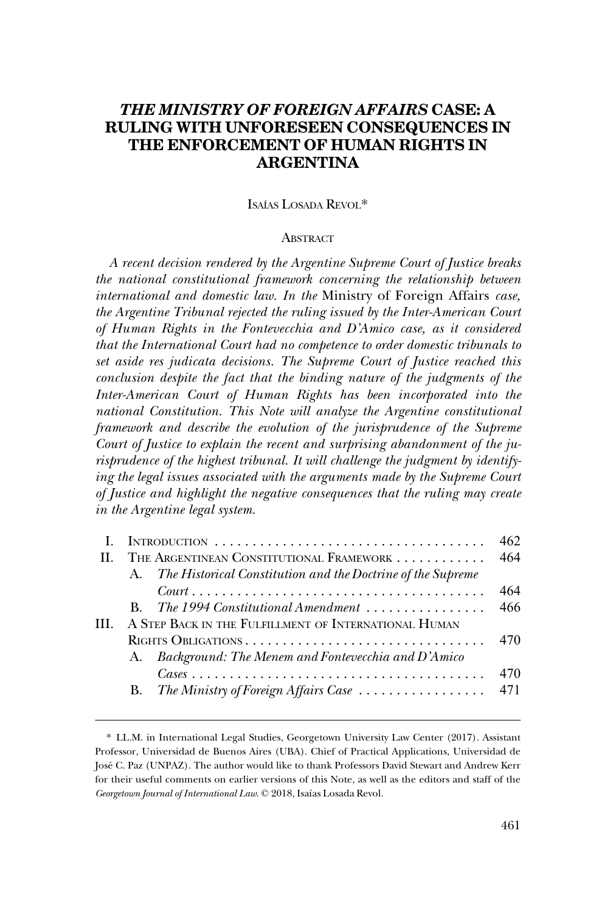# *THE MINISTRY OF FOREIGN AFFAIRS* **CASE: A RULING WITH UNFORESEEN CONSEQUENCES IN THE ENFORCEMENT OF HUMAN RIGHTS IN ARGENTINA**

### ISAÍAS LOSADA REVOL<sup>\*</sup>

#### **ABSTRACT**

*A recent decision rendered by the Argentine Supreme Court of Justice breaks the national constitutional framework concerning the relationship between international and domestic law. In the* Ministry of Foreign Affairs *case, the Argentine Tribunal rejected the ruling issued by the Inter-American Court of Human Rights in the Fontevecchia and D'Amico case, as it considered that the International Court had no competence to order domestic tribunals to set aside res judicata decisions. The Supreme Court of Justice reached this conclusion despite the fact that the binding nature of the judgments of the Inter-American Court of Human Rights has been incorporated into the national Constitution. This Note will analyze the Argentine constitutional framework and describe the evolution of the jurisprudence of the Supreme Court of Justice to explain the recent and surprising abandonment of the jurisprudence of the highest tribunal. It will challenge the judgment by identify*ing the legal issues associated with the arguments made by the Supreme Court *of Justice and highlight the negative consequences that the ruling may create in the Argentine legal system.* 

| INTRODUCTION                                          |                                                                                                   | 462 |
|-------------------------------------------------------|---------------------------------------------------------------------------------------------------|-----|
| THE ARGENTINEAN CONSTITUTIONAL FRAMEWORK              |                                                                                                   | 464 |
| $A_{-}$                                               | The Historical Constitution and the Doctrine of the Supreme                                       |     |
|                                                       | $Count \dots \dots \dots \dots \dots \dots \dots \dots \dots \dots \dots \dots \dots \dots \dots$ | 464 |
|                                                       | <b>B.</b> The 1994 Constitutional Amendment $\ldots \ldots \ldots \ldots$                         | 466 |
| A STEP BACK IN THE FULFILLMENT OF INTERNATIONAL HUMAN |                                                                                                   |     |
|                                                       |                                                                                                   | 470 |
|                                                       | A. Background: The Menem and Fontevecchia and D'Amico                                             |     |
|                                                       |                                                                                                   | 470 |
| В.                                                    | The Ministry of Foreign Affairs Case                                                              | 471 |
|                                                       |                                                                                                   |     |

<sup>\*</sup> LL.M. in International Legal Studies, Georgetown University Law Center (2017). Assistant Professor, Universidad de Buenos Aires (UBA). Chief of Practical Applications, Universidad de Jose´ C. Paz (UNPAZ). The author would like to thank Professors David Stewart and Andrew Kerr for their useful comments on earlier versions of this Note, as well as the editors and staff of the *Georgetown Journal of International Law*. © 2018, Isaı´as Losada Revol.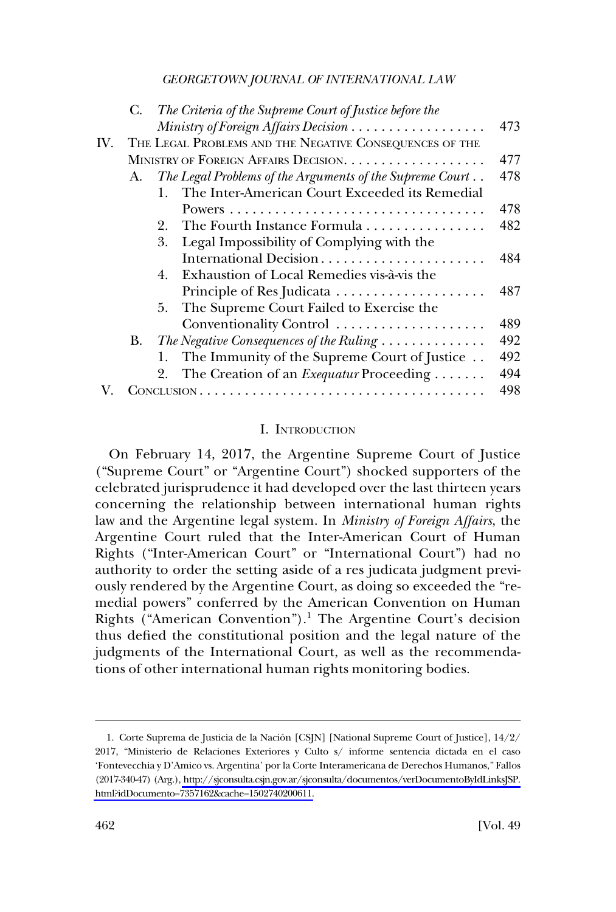<span id="page-1-0"></span>

|     | C. | The Criteria of the Supreme Court of Justice before the        |     |
|-----|----|----------------------------------------------------------------|-----|
|     |    |                                                                | 473 |
| IV. |    | THE LEGAL PROBLEMS AND THE NEGATIVE CONSEQUENCES OF THE        |     |
|     |    | MINISTRY OF FOREIGN AFFAIRS DECISION.                          | 477 |
|     | А. | The Legal Problems of the Arguments of the Supreme Court       | 478 |
|     |    | The Inter-American Court Exceeded its Remedial<br>$\mathbf{1}$ |     |
|     |    |                                                                | 478 |
|     |    | The Fourth Instance Formula<br>2.                              | 482 |
|     |    | Legal Impossibility of Complying with the<br>3.                |     |
|     |    | International Decision                                         | 484 |
|     |    | Exhaustion of Local Remedies vis-à-vis the<br>4.               |     |
|     |    |                                                                | 487 |
|     |    | The Supreme Court Failed to Exercise the<br>5.                 |     |
|     |    | Conventionality Control                                        | 489 |
|     | В. | The Negative Consequences of the Ruling                        | 492 |
|     |    | The Immunity of the Supreme Court of Justice<br>1.             | 492 |
|     |    | The Creation of an <i>Exequatur</i> Proceeding<br>2.           | 494 |
|     |    |                                                                | 498 |

#### I. INTRODUCTION

On February 14, 2017, the Argentine Supreme Court of Justice ("Supreme Court" or "Argentine Court") shocked supporters of the celebrated jurisprudence it had developed over the last thirteen years concerning the relationship between international human rights law and the Argentine legal system. In *Ministry of Foreign Affairs*, the Argentine Court ruled that the Inter-American Court of Human Rights ("Inter-American Court" or "International Court") had no authority to order the setting aside of a res judicata judgment previously rendered by the Argentine Court, as doing so exceeded the "remedial powers" conferred by the American Convention on Human Rights ("American Convention").<sup>1</sup> The Argentine Court's decision thus defied the constitutional position and the legal nature of the judgments of the International Court, as well as the recommendations of other international human rights monitoring bodies.

<sup>1.</sup> Corte Suprema de Justicia de la Nación [CSJN] [National Supreme Court of Justice], 14/2/ 2017, "Ministerio de Relaciones Exteriores y Culto s/ informe sentencia dictada en el caso 'Fontevecchia y D'Amico vs. Argentina' por la Corte Interamericana de Derechos Humanos," Fallos (2017-340-47) (Arg.), [http://sjconsulta.csjn.gov.ar/sjconsulta/documentos/verDocumentoByIdLinksJSP.](http://sjconsulta.csjn.gov.ar/sjconsulta/documentos/verDocumentoByIdLinksJSP.html?idDocumento=7357162&cache=1502740200611)  [html?idDocumento=7357162&cache=1502740200611.](http://sjconsulta.csjn.gov.ar/sjconsulta/documentos/verDocumentoByIdLinksJSP.html?idDocumento=7357162&cache=1502740200611)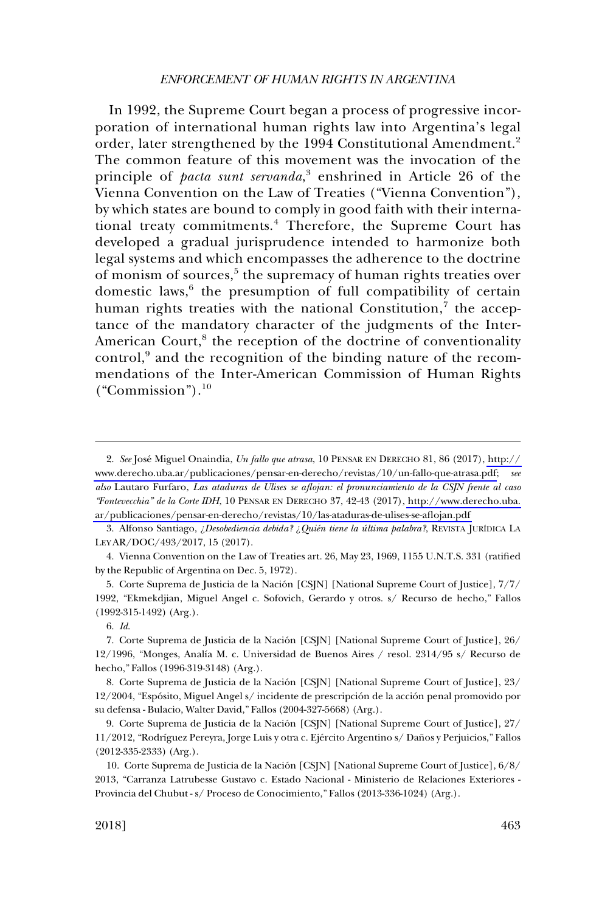In 1992, the Supreme Court began a process of progressive incorporation of international human rights law into Argentina's legal order, later strengthened by the 1994 Constitutional Amendment.<sup>2</sup> The common feature of this movement was the invocation of the principle of *pacta sunt servanda*, 3 enshrined in Article 26 of the Vienna Convention on the Law of Treaties ("Vienna Convention"), by which states are bound to comply in good faith with their international treaty commitments.4 Therefore, the Supreme Court has developed a gradual jurisprudence intended to harmonize both legal systems and which encompasses the adherence to the doctrine of monism of sources,<sup>5</sup> the supremacy of human rights treaties over domestic laws,<sup>6</sup> the presumption of full compatibility of certain human rights treaties with the national Constitution, $^7$  the acceptance of the mandatory character of the judgments of the Inter-American Court,<sup>8</sup> the reception of the doctrine of conventionality control,<sup>9</sup> and the recognition of the binding nature of the recommendations of the Inter-American Commission of Human Rights  $("Commission").<sup>10</sup>$ 

3. Alfonso Santiago, *¿Desobediencia debida? ¿Quién tiene la última palabra?*, REVISTA JURÍDICA LA LEY AR/DOC/493/2017, 15 (2017).

4. Vienna Convention on the Law of Treaties art. 26, May 23, 1969, 1155 U.N.T.S. 331 (ratified by the Republic of Argentina on Dec. 5, 1972).

5. Corte Suprema de Justicia de la Nación [CSJN] [National Supreme Court of Justice], 7/7/ 1992, "Ekmekdjian, Miguel Angel c. Sofovich, Gerardo y otros. s/ Recurso de hecho," Fallos (1992-315-1492) (Arg.).

8. Corte Suprema de Justicia de la Nación [CSJN] [National Supreme Court of Justice], 23/ 12/2004, "Espósito, Miguel Angel s/incidente de prescripción de la acción penal promovido por su defensa - Bulacio, Walter David," Fallos (2004-327-5668) (Arg.).

<sup>2.</sup> See José Miguel Onaindia, *Un fallo que atrasa*, 10 PENSAR EN DERECHO 81, 86 (2017), http:// [www.derecho.uba.ar/publicaciones/pensar-en-derecho/revistas/10/un-fallo-que-atrasa.pdf;](http://www.derecho.uba.ar/publicaciones/pensar-en-derecho/revistas/10/un-fallo-que-atrasa.pdf) *see also* Lautaro Furfaro, *Las ataduras de Ulises se aflojan: el pronunciamiento de la CSJN frente al caso "Fontevecchia" de la Corte IDH*, 10 PENSAR EN DERECHO 37, 42-43 (2017), [http://www.derecho.uba.](http://www.derecho.uba.ar/publicaciones/pensar-en-derecho/revistas/10/las-ataduras-de-ulises-se-aflojan.pdf)  [ar/publicaciones/pensar-en-derecho/revistas/10/las-ataduras-de-ulises-se-aflojan.pdf](http://www.derecho.uba.ar/publicaciones/pensar-en-derecho/revistas/10/las-ataduras-de-ulises-se-aflojan.pdf) 

<sup>6.</sup> *Id*.

<sup>7.</sup> Corte Suprema de Justicia de la Nación [CSJN] [National Supreme Court of Justice], 26/ 12/1996, "Monges, Analı´a M. c. Universidad de Buenos Aires / resol. 2314/95 s/ Recurso de hecho," Fallos (1996-319-3148) (Arg.).

<sup>9.</sup> Corte Suprema de Justicia de la Nación [CSJN] [National Supreme Court of Justice], 27/ 11/2012, "Rodríguez Pereyra, Jorge Luis y otra c. Ejército Argentino s/ Daños y Perjuicios," Fallos (2012-335-2333) (Arg.).

<sup>10.</sup> Corte Suprema de Justicia de la Nación [CSJN] [National Supreme Court of Justice], 6/8/ 2013, "Carranza Latrubesse Gustavo c. Estado Nacional - Ministerio de Relaciones Exteriores - Provincia del Chubut - s/ Proceso de Conocimiento," Fallos (2013-336-1024) (Arg.).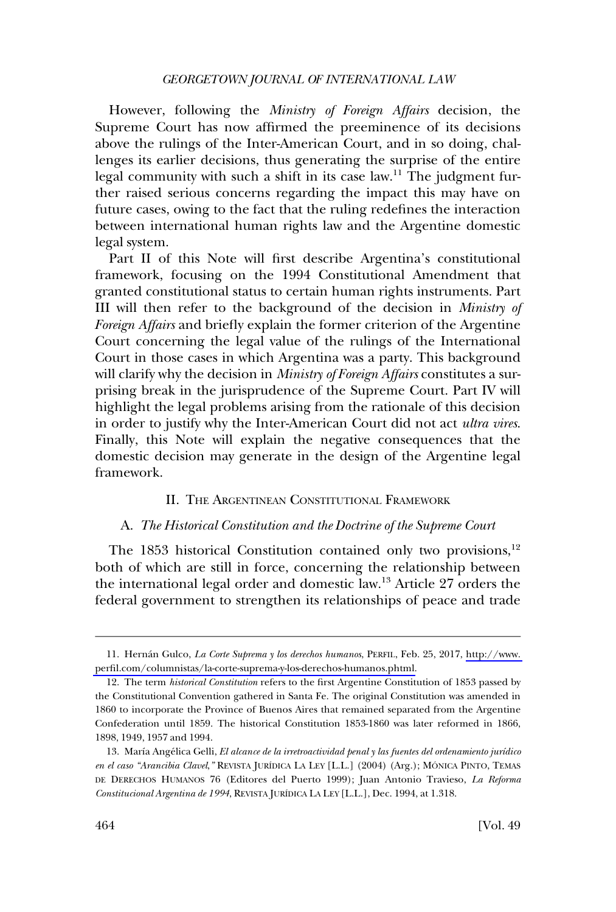<span id="page-3-0"></span>However, following the *Ministry of Foreign Affairs* decision, the Supreme Court has now affirmed the preeminence of its decisions above the rulings of the Inter-American Court, and in so doing, challenges its earlier decisions, thus generating the surprise of the entire legal community with such a shift in its case law.<sup>11</sup> The judgment further raised serious concerns regarding the impact this may have on future cases, owing to the fact that the ruling redefines the interaction between international human rights law and the Argentine domestic legal system.

Part II of this Note will first describe Argentina's constitutional framework, focusing on the 1994 Constitutional Amendment that granted constitutional status to certain human rights instruments. Part III will then refer to the background of the decision in *Ministry of Foreign Affairs* and briefly explain the former criterion of the Argentine Court concerning the legal value of the rulings of the International Court in those cases in which Argentina was a party. This background will clarify why the decision in *Ministry of Foreign Affairs* constitutes a surprising break in the jurisprudence of the Supreme Court. Part IV will highlight the legal problems arising from the rationale of this decision in order to justify why the Inter-American Court did not act *ultra vires*. Finally, this Note will explain the negative consequences that the domestic decision may generate in the design of the Argentine legal framework.

### II. THE ARGENTINEAN CONSTITUTIONAL FRAMEWORK

### A. *The Historical Constitution and the Doctrine of the Supreme Court*

The 1853 historical Constitution contained only two provisions, $12$ both of which are still in force, concerning the relationship between the international legal order and domestic law.13 Article 27 orders the federal government to strengthen its relationships of peace and trade

<sup>11.</sup> Hernán Gulco, *La Corte Suprema y los derechos humanos*, PERFIL, Feb. 25, 2017, http://www. [perfil.com/columnistas/la-corte-suprema-y-los-derechos-humanos.phtml.](http://www.perfil.com/columnistas/la-corte-suprema-y-los-derechos-humanos.phtml)

<sup>12.</sup> The term *historical Constitution* refers to the first Argentine Constitution of 1853 passed by the Constitutional Convention gathered in Santa Fe. The original Constitution was amended in 1860 to incorporate the Province of Buenos Aires that remained separated from the Argentine Confederation until 1859. The historical Constitution 1853-1860 was later reformed in 1866, 1898, 1949, 1957 and 1994.

<sup>13.</sup> María Angélica Gelli, *El alcance de la irretroactividad penal y las fuentes del ordenamiento jurídico en el caso "Arancibia Clavel*," REVISTA JURÍDICA LA LEY [L.L.] (2004) (Arg.); MÓNICA PINTO, TEMAS DE DERECHOS HUMANOS 76 (Editores del Puerto 1999); Juan Antonio Travieso, *La Reforma Constitucional Argentina de 1994*, REVISTA JURI´DICA LA LEY [L.L.], Dec. 1994, at 1.318.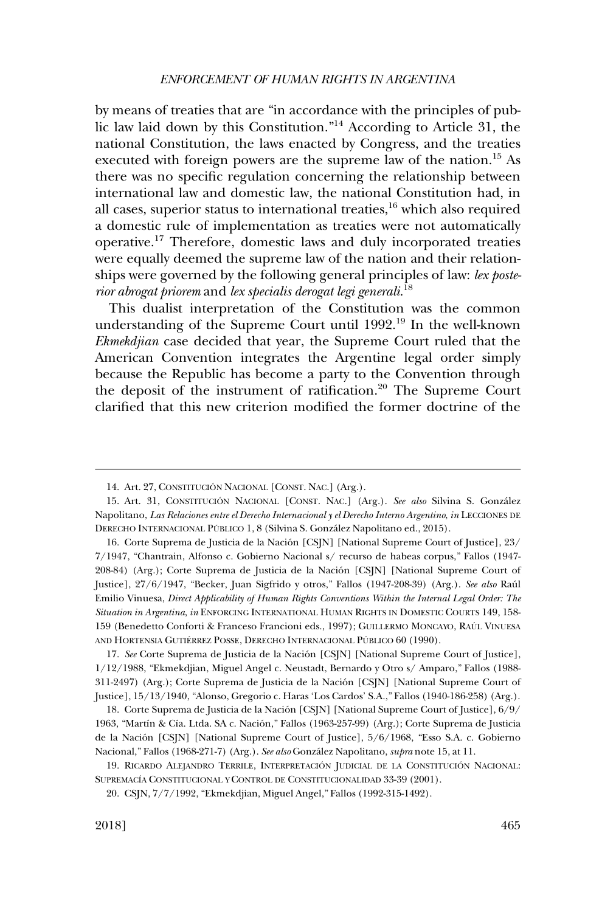by means of treaties that are "in accordance with the principles of public law laid down by this Constitution."<sup>14</sup> According to Article 31, the national Constitution, the laws enacted by Congress, and the treaties executed with foreign powers are the supreme law of the nation.<sup>15</sup> As there was no specific regulation concerning the relationship between international law and domestic law, the national Constitution had, in all cases, superior status to international treaties,  $16$  which also required a domestic rule of implementation as treaties were not automatically operative.17 Therefore, domestic laws and duly incorporated treaties were equally deemed the supreme law of the nation and their relationships were governed by the following general principles of law: *lex posterior abrogat priorem* and *lex specialis derogat legi generali*. 18

This dualist interpretation of the Constitution was the common understanding of the Supreme Court until 1992.<sup>19</sup> In the well-known *Ekmekdjian* case decided that year, the Supreme Court ruled that the American Convention integrates the Argentine legal order simply because the Republic has become a party to the Convention through the deposit of the instrument of ratification.<sup>20</sup> The Supreme Court clarified that this new criterion modified the former doctrine of the

<sup>14.</sup> Art. 27, CONSTITUCIÓN NACIONAL [CONST. NAC.] (Arg.).

<sup>15.</sup> Art. 31, CONSTITUCIÓN NACIONAL [CONST. NAC.] (Arg.). See also Silvina S. González Napolitano, *Las Relaciones entre el Derecho Internacional y el Derecho Interno Argentino*, *in* LECCIONES DE DERECHO INTERNACIONAL PÚBLICO 1, 8 (Silvina S. González Napolitano ed., 2015).

<sup>16.</sup> Corte Suprema de Justicia de la Nación [CSJN] [National Supreme Court of Justice], 23/ 7/1947, "Chantrain, Alfonso c. Gobierno Nacional s/ recurso de habeas corpus," Fallos (1947- 208-84) (Arg.); Corte Suprema de Justicia de la Nación [CSJN] [National Supreme Court of Justice], 27/6/1947, "Becker, Juan Sigfrido y otros," Fallos (1947-208-39) (Arg.). *See also* Rau´l Emilio Vinuesa, *Direct Applicability of Human Rights Conventions Within the Internal Legal Order: The Situation in Argentina*, *in* ENFORCING INTERNATIONAL HUMAN RIGHTS IN DOMESTIC COURTS 149, 158- 159 (Benedetto Conforti & Franceso Francioni eds., 1997); GUILLERMO MONCAYO, RAÚL VINUESA AND HORTENSIA GUTIÉRREZ POSSE, DERECHO INTERNACIONAL PÚBLICO 60 (1990).

<sup>17.</sup> See Corte Suprema de Justicia de la Nación [CSJN] [National Supreme Court of Justice], 1/12/1988, "Ekmekdjian, Miguel Angel c. Neustadt, Bernardo y Otro s/ Amparo," Fallos (1988- 311-2497) (Arg.); Corte Suprema de Justicia de la Nación [CSJN] [National Supreme Court of Justice], 15/13/1940, "Alonso, Gregorio c. Haras 'Los Cardos' S.A.," Fallos (1940-186-258) (Arg.).

<sup>18.</sup> Corte Suprema de Justicia de la Nación [CSJN] [National Supreme Court of Justice], 6/9/ 1963, "Martín & Cía. Ltda. SA c. Nación," Fallos (1963-257-99) (Arg.); Corte Suprema de Justicia de la Nación [CSJN] [National Supreme Court of Justice], 5/6/1968, "Esso S.A. c. Gobierno Nacional," Fallos (1968-271-7) (Arg.). *See also* Gonza´lez Napolitano, *supra* note 15, at 11.

<sup>19.</sup> RICARDO ALEJANDRO TERRILE, INTERPRETACIÓN JUDICIAL DE LA CONSTITUCIÓN NACIONAL: SUPREMACÍA CONSTITUCIONAL Y CONTROL DE CONSTITUCIONALIDAD 33-39 (2001).

CSJN, 7/7/1992, "Ekmekdjian, Miguel Angel," Fallos (1992-315-1492). 20.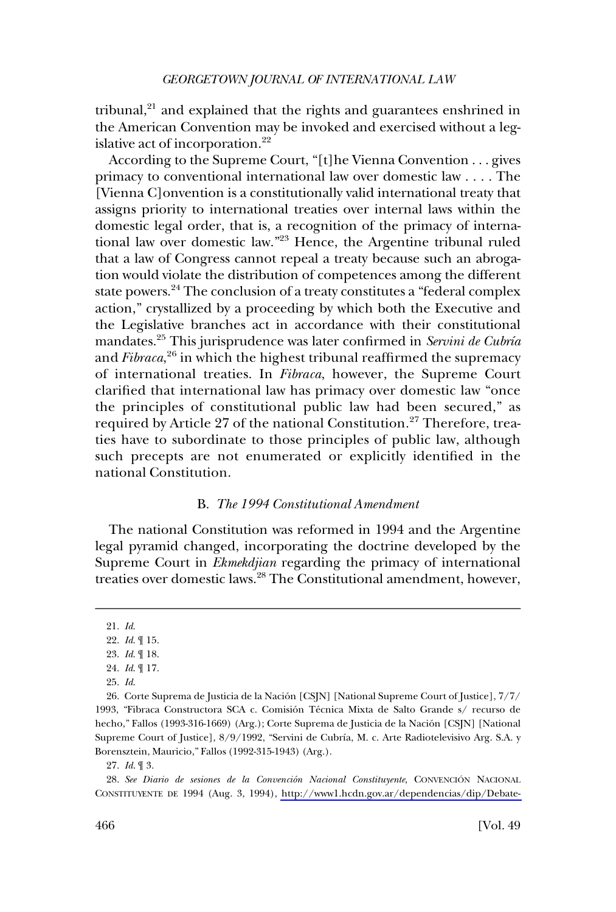<span id="page-5-0"></span>tribunal,<sup>21</sup> and explained that the rights and guarantees enshrined in the American Convention may be invoked and exercised without a legislative act of incorporation.<sup>22</sup>

According to the Supreme Court, "[t]he Vienna Convention . . . gives primacy to conventional international law over domestic law . . . . The [Vienna C]onvention is a constitutionally valid international treaty that assigns priority to international treaties over internal laws within the domestic legal order, that is, a recognition of the primacy of international law over domestic law."23 Hence, the Argentine tribunal ruled that a law of Congress cannot repeal a treaty because such an abrogation would violate the distribution of competences among the different state powers.<sup>24</sup> The conclusion of a treaty constitutes a "federal complex action," crystallized by a proceeding by which both the Executive and the Legislative branches act in accordance with their constitutional mandates.<sup>25</sup> This jurisprudence was later confirmed in *Servini de Cubría* and *Fibraca*,<sup>26</sup> in which the highest tribunal reaffirmed the supremacy of international treaties. In *Fibraca*, however, the Supreme Court clarified that international law has primacy over domestic law "once the principles of constitutional public law had been secured," as required by Article 27 of the national Constitution.<sup>27</sup> Therefore, treaties have to subordinate to those principles of public law, although such precepts are not enumerated or explicitly identified in the national Constitution.

## B. *The 1994 Constitutional Amendment*

The national Constitution was reformed in 1994 and the Argentine legal pyramid changed, incorporating the doctrine developed by the Supreme Court in *Ekmekdjian* regarding the primacy of international treaties over domestic laws.28 The Constitutional amendment, however,

27. *Id*. ¶ 3.

28. See Diario de sesiones de la Convención Nacional Constituyente, CONVENCIÓN NACIONAL CONSTITUYENTE DE 1994 (Aug. 3, 1994), [http://www1.hcdn.gov.ar/dependencias/dip/Debate-](http://www1.hcdn.gov.ar/dependencias/dip/Debate-constituyente.htm)

<sup>21.</sup> *Id*.

<sup>22.</sup> *Id*. ¶ 15.

<sup>23.</sup> *Id*. ¶ 18.

<sup>24.</sup> *Id*. ¶ 17.

<sup>25.</sup> *Id*.

<sup>26.</sup> Corte Suprema de Justicia de la Nación [CSJN] [National Supreme Court of Justice], 7/7/ 1993, "Fibraca Constructora SCA c. Comisión Técnica Mixta de Salto Grande s/ recurso de hecho," Fallos (1993-316-1669) (Arg.); Corte Suprema de Justicia de la Nación [CSJN] [National Supreme Court of Justice], 8/9/1992, "Servini de Cubría, M. c. Arte Radiotelevisivo Arg. S.A. y Borensztein, Mauricio," Fallos (1992-315-1943) (Arg.).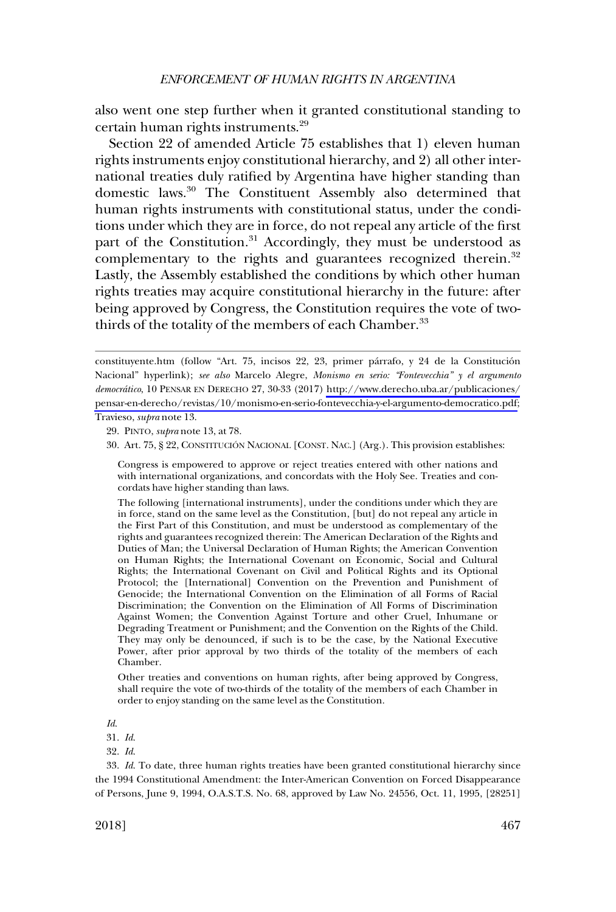also went one step further when it granted constitutional standing to certain human rights instruments.29

Section 22 of amended Article 75 establishes that 1) eleven human rights instruments enjoy constitutional hierarchy, and 2) all other international treaties duly ratified by Argentina have higher standing than domestic laws.30 The Constituent Assembly also determined that human rights instruments with constitutional status, under the conditions under which they are in force, do not repeal any article of the first part of the Constitution.<sup>31</sup> Accordingly, they must be understood as complementary to the rights and guarantees recognized therein.<sup>32</sup> Lastly, the Assembly established the conditions by which other human rights treaties may acquire constitutional hierarchy in the future: after being approved by Congress, the Constitution requires the vote of twothirds of the totality of the members of each Chamber.<sup>33</sup>

29. PINTO, *supra* note 13, at 78.

Other treaties and conventions on human rights, after being approved by Congress, shall require the vote of two-thirds of the totality of the members of each Chamber in order to enjoy standing on the same level as the Constitution.

*Id*.

33. *Id*. To date, three human rights treaties have been granted constitutional hierarchy since the 1994 Constitutional Amendment: the Inter-American Convention on Forced Disappearance of Persons, June 9, 1994, O.A.S.T.S. No. 68, approved by Law No. 24556, Oct. 11, 1995, [28251]

constituyente.htm (follow "Art. 75, incisos 22, 23, primer párrafo, y 24 de la Constitución Nacional" hyperlink); *see also* Marcelo Alegre, *Monismo en serio: "Fontevecchia" y el argumento democra´tico*, 10 PENSAR EN DERECHO 27, 30-33 (2017) [http://www.derecho.uba.ar/publicaciones/](http://www.derecho.uba.ar/publicaciones/pensar-en-derecho/revistas/10/monismo-en-serio-fontevecchia-y-el-argumento-democratico.pdf) [pensar-en-derecho/revistas/10/monismo-en-serio-fontevecchia-y-el-argumento-democratico.pdf;](http://www.derecho.uba.ar/publicaciones/pensar-en-derecho/revistas/10/monismo-en-serio-fontevecchia-y-el-argumento-democratico.pdf) Travieso, *supra* note 13.

<sup>30.</sup> Art. 75, § 22, CONSTITUCIÓN NACIONAL [CONST. NAC.] (Arg.). This provision establishes:

Congress is empowered to approve or reject treaties entered with other nations and with international organizations, and concordats with the Holy See. Treaties and concordats have higher standing than laws.

The following [international instruments], under the conditions under which they are in force, stand on the same level as the Constitution, [but] do not repeal any article in the First Part of this Constitution, and must be understood as complementary of the rights and guarantees recognized therein: The American Declaration of the Rights and Duties of Man; the Universal Declaration of Human Rights; the American Convention on Human Rights; the International Covenant on Economic, Social and Cultural Rights; the International Covenant on Civil and Political Rights and its Optional Protocol; the [International] Convention on the Prevention and Punishment of Genocide; the International Convention on the Elimination of all Forms of Racial Discrimination; the Convention on the Elimination of All Forms of Discrimination Against Women; the Convention Against Torture and other Cruel, Inhumane or Degrading Treatment or Punishment; and the Convention on the Rights of the Child. They may only be denounced, if such is to be the case, by the National Executive Power, after prior approval by two thirds of the totality of the members of each Chamber.

<sup>31.</sup> *Id*.

<sup>32.</sup> *Id*.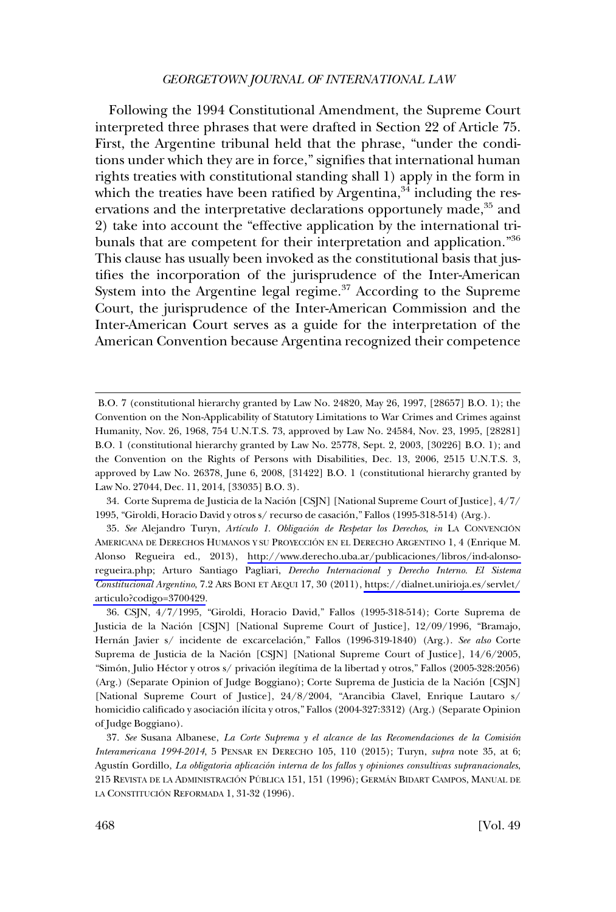Following the 1994 Constitutional Amendment, the Supreme Court interpreted three phrases that were drafted in Section 22 of Article 75. First, the Argentine tribunal held that the phrase, "under the conditions under which they are in force," signifies that international human rights treaties with constitutional standing shall 1) apply in the form in which the treaties have been ratified by Argentina, $34$  including the reservations and the interpretative declarations opportunely made,<sup>35</sup> and 2) take into account the "effective application by the international tribunals that are competent for their interpretation and application."<sup>36</sup> This clause has usually been invoked as the constitutional basis that justifies the incorporation of the jurisprudence of the Inter-American System into the Argentine legal regime.<sup>37</sup> According to the Supreme Court, the jurisprudence of the Inter-American Commission and the Inter-American Court serves as a guide for the interpretation of the American Convention because Argentina recognized their competence

B.O. 7 (constitutional hierarchy granted by Law No. 24820, May 26, 1997, [28657] B.O. 1); the Convention on the Non-Applicability of Statutory Limitations to War Crimes and Crimes against Humanity, Nov. 26, 1968, 754 U.N.T.S. 73, approved by Law No. 24584, Nov. 23, 1995, [28281] B.O. 1 (constitutional hierarchy granted by Law No. 25778, Sept. 2, 2003, [30226] B.O. 1); and the Convention on the Rights of Persons with Disabilities, Dec. 13, 2006, 2515 U.N.T.S. 3, approved by Law No. 26378, June 6, 2008, [31422] B.O. 1 (constitutional hierarchy granted by Law No. 27044, Dec. 11, 2014, [33035] B.O. 3).

<sup>34.</sup> Corte Suprema de Justicia de la Nación [CSJN] [National Supreme Court of Justice], 4/7/ 1995, "Giroldi, Horacio David y otros s/ recurso de casación," Fallos (1995-318-514) (Arg.).

<sup>35.</sup> See Alejandro Turyn, Artículo 1. Obligación de Respetar los Derechos, in LA CONVENCIÓN AMERICANA DE DERECHOS HUMANOS Y SU PROYECCIÓN EN EL DERECHO ARGENTINO 1, 4 (Enrique M. Alonso Regueira ed., 2013), [http://www.derecho.uba.ar/publicaciones/libros/ind-alonso](http://www.derecho.uba.ar/publicaciones/libros/ind-alonso-regueira.php)[regueira.php](http://www.derecho.uba.ar/publicaciones/libros/ind-alonso-regueira.php); Arturo Santiago Pagliari, *Derecho Internacional y Derecho Interno. El Sistema Constitucional Argentino*, 7.2 ARS BONI ET AEQUI 17, 30 (2011), [https://dialnet.unirioja.es/servlet/](https://dialnet.unirioja.es/servlet/articulo?codigo=3700429) [articulo?codigo=3700429.](https://dialnet.unirioja.es/servlet/articulo?codigo=3700429)

<sup>&</sup>quot;Simón, Julio Héctor y otros s/ privación ilegítima de la libertad y otros," Fallos (2005-328:2056) (Arg.) (Separate Opinion of Judge Boggiano); Corte Suprema de Justicia de la Nacio´n [CSJN] [National Supreme Court of Justice], 24/8/2004, "Arancibia Clavel, Enrique Lautaro s/ homicidio calificado y asociación ilícita y otros," Fallos (2004-327:3312) (Arg.) (Separate Opinion of Judge Boggiano). 36. CSJN, 4/7/1995, "Giroldi, Horacio David," Fallos (1995-318-514); Corte Suprema de Justicia de la Nación [CSJN] [National Supreme Court of Justice], 12/09/1996, "Bramajo, Hernán Javier s/ incidente de excarcelación," Fallos (1996-319-1840) (Arg.). *See also* Corte Suprema de Justicia de la Nación [CSJN] [National Supreme Court of Justice], 14/6/2005,

<sup>37.</sup> See Susana Albanese, *La Corte Suprema y el alcance de las Recomendaciones de la Comisión Interamericana 1994-2014*, 5 PENSAR EN DERECHO 105, 110 (2015); Turyn, *supra* note 35, at 6; Agustín Gordillo, *La obligatoria aplicación interna de los fallos y opiniones consultivas supranacionales*, 215 REVISTA DE LA ADMINISTRACIÓN PÚBLICA 151, 151 (1996); GERMÁN BIDART CAMPOS, MANUAL DE LA CONSTITUCIÓN REFORMADA 1, 31-32 (1996).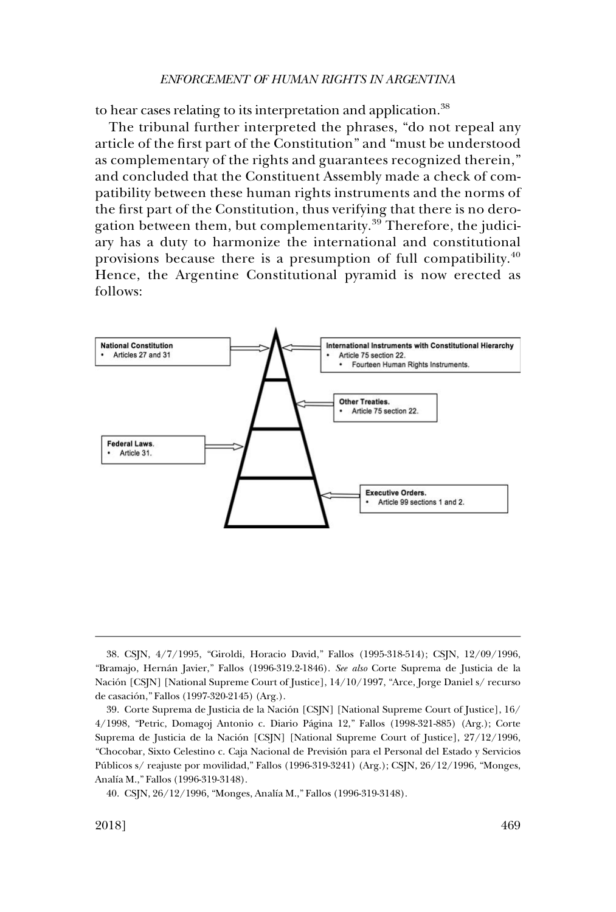to hear cases relating to its interpretation and application.<sup>38</sup>

The tribunal further interpreted the phrases, "do not repeal any article of the first part of the Constitution" and "must be understood as complementary of the rights and guarantees recognized therein," and concluded that the Constituent Assembly made a check of compatibility between these human rights instruments and the norms of the first part of the Constitution, thus verifying that there is no derogation between them, but complementarity.<sup>39</sup> Therefore, the judiciary has a duty to harmonize the international and constitutional provisions because there is a presumption of full compatibility.<sup>40</sup> Hence, the Argentine Constitutional pyramid is now erected as follows:



<sup>&</sup>quot;Bramajo, Herna´n Javier," Fallos (1996-319.2-1846). *See also* Corte Suprema de Justicia de la Nación [CSJN] [National Supreme Court of Justice], 14/10/1997, "Arce, Jorge Daniel s/ recurso de casación," Fallos (1997-320-2145) (Arg.). 38. CSJN, 4/7/1995, "Giroldi, Horacio David," Fallos (1995-318-514); CSJN, 12/09/1996,

<sup>39.</sup> Corte Suprema de Justicia de la Nación [CSJN] [National Supreme Court of Justice], 16/ 4/1998, "Petric, Domagoj Antonio c. Diario Pa´gina 12," Fallos (1998-321-885) (Arg.); Corte Suprema de Justicia de la Nación [CSJN] [National Supreme Court of Justice], 27/12/1996, "Chocobar, Sixto Celestino c. Caja Nacional de Previsión para el Personal del Estado y Servicios Públicos s/ reajuste por movilidad," Fallos (1996-319-3241) (Arg.); CSJN, 26/12/1996, "Monges, Analía M.," Fallos (1996-319-3148).

<sup>40.</sup> CSJN, 26/12/1996, "Monges, Analía M.," Fallos (1996-319-3148).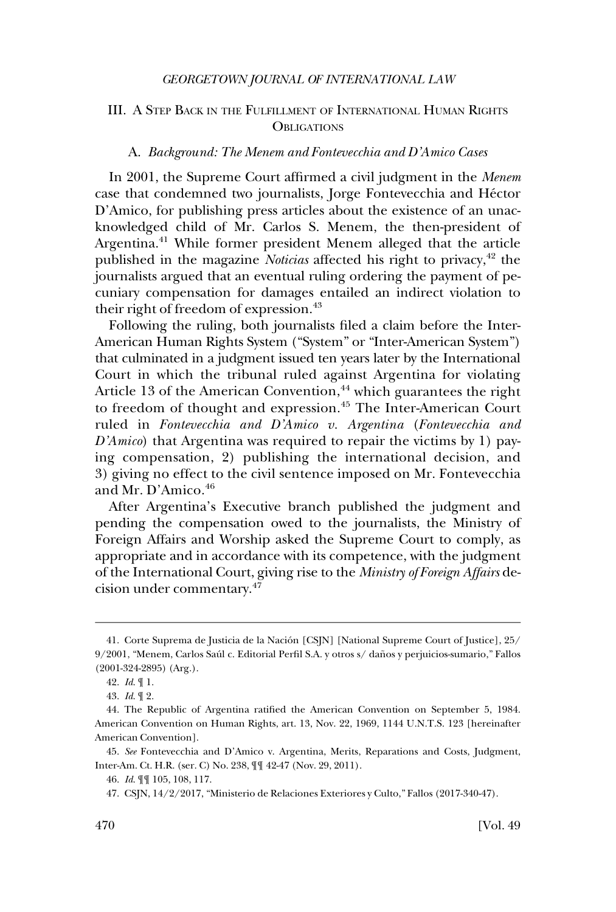## <span id="page-9-0"></span>III. A STEP BACK IN THE FULFILLMENT OF INTERNATIONAL HUMAN RIGHTS **OBLIGATIONS**

#### A. *Background: The Menem and Fontevecchia and D'Amico Cases*

In 2001, the Supreme Court affirmed a civil judgment in the *Menem*  case that condemned two journalists, Jorge Fontevecchia and Héctor D'Amico, for publishing press articles about the existence of an unacknowledged child of Mr. Carlos S. Menem, the then-president of Argentina.<sup>41</sup> While former president Menem alleged that the article published in the magazine *Noticias* affected his right to privacy,<sup>42</sup> the journalists argued that an eventual ruling ordering the payment of pecuniary compensation for damages entailed an indirect violation to their right of freedom of expression.<sup>43</sup>

Following the ruling, both journalists filed a claim before the Inter-American Human Rights System ("System" or "Inter-American System") that culminated in a judgment issued ten years later by the International Court in which the tribunal ruled against Argentina for violating Article 13 of the American Convention,<sup>44</sup> which guarantees the right to freedom of thought and expression.<sup>45</sup> The Inter-American Court ruled in *Fontevecchia and D'Amico v. Argentina* (*Fontevecchia and D'Amico*) that Argentina was required to repair the victims by 1) paying compensation, 2) publishing the international decision, and 3) giving no effect to the civil sentence imposed on Mr. Fontevecchia and Mr. D'Amico.<sup>46</sup>

After Argentina's Executive branch published the judgment and pending the compensation owed to the journalists, the Ministry of Foreign Affairs and Worship asked the Supreme Court to comply, as appropriate and in accordance with its competence, with the judgment of the International Court, giving rise to the *Ministry of Foreign Affairs* decision under commentary.<sup>47</sup>

<sup>41.</sup> Corte Suprema de Justicia de la Nación [CSJN] [National Supreme Court of Justice], 25/ 9/2001, "Menem, Carlos Saúl c. Editorial Perfil S.A. y otros s/ daños y perjuicios-sumario," Fallos (2001-324-2895) (Arg.).

<sup>42.</sup> *Id*. ¶ 1.

<sup>43.</sup> *Id*. ¶ 2.

<sup>44.</sup> The Republic of Argentina ratified the American Convention on September 5, 1984. American Convention on Human Rights, art. 13, Nov. 22, 1969, 1144 U.N.T.S. 123 [hereinafter American Convention].

<sup>45.</sup> *See* Fontevecchia and D'Amico v. Argentina, Merits, Reparations and Costs, Judgment, Inter-Am. Ct. H.R. (ser. C) No. 238, ¶¶ 42-47 (Nov. 29, 2011).

<sup>46.</sup> *Id*. ¶¶ 105, 108, 117.

CSJN, 14/2/2017, "Ministerio de Relaciones Exteriores y Culto," Fallos (2017-340-47). 47.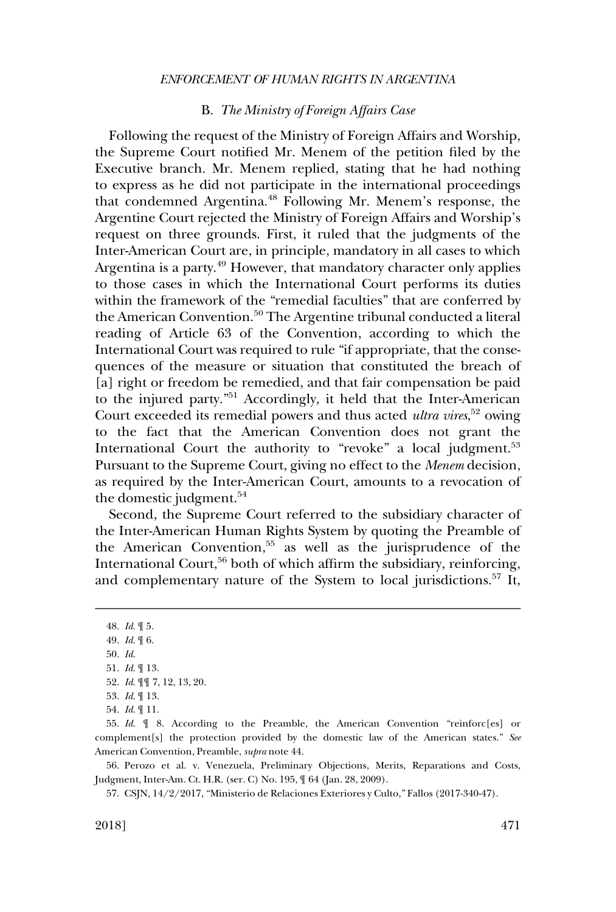#### B. *The Ministry of Foreign Affairs Case*

<span id="page-10-0"></span>Following the request of the Ministry of Foreign Affairs and Worship, the Supreme Court notified Mr. Menem of the petition filed by the Executive branch. Mr. Menem replied, stating that he had nothing to express as he did not participate in the international proceedings that condemned Argentina.48 Following Mr. Menem's response, the Argentine Court rejected the Ministry of Foreign Affairs and Worship's request on three grounds. First, it ruled that the judgments of the Inter-American Court are, in principle, mandatory in all cases to which Argentina is a party.<sup>49</sup> However, that mandatory character only applies to those cases in which the International Court performs its duties within the framework of the "remedial faculties" that are conferred by the American Convention.<sup>50</sup> The Argentine tribunal conducted a literal reading of Article 63 of the Convention, according to which the International Court was required to rule "if appropriate, that the consequences of the measure or situation that constituted the breach of [a] right or freedom be remedied, and that fair compensation be paid to the injured party."51 Accordingly, it held that the Inter-American Court exceeded its remedial powers and thus acted *ultra vires*, 52 owing to the fact that the American Convention does not grant the International Court the authority to "revoke" a local judgment.<sup>53</sup> Pursuant to the Supreme Court, giving no effect to the *Menem* decision, as required by the Inter-American Court, amounts to a revocation of the domestic judgment.<sup>54</sup>

Second, the Supreme Court referred to the subsidiary character of the Inter-American Human Rights System by quoting the Preamble of the American Convention,<sup>55</sup> as well as the jurisprudence of the International Court,<sup>56</sup> both of which affirm the subsidiary, reinforcing, and complementary nature of the System to local jurisdictions.<sup>57</sup> It,

56. Perozo et al. v. Venezuela, Preliminary Objections, Merits, Reparations and Costs, Judgment, Inter-Am. Ct. H.R. (ser. C) No. 195, ¶ 64 (Jan. 28, 2009).

CSJN, 14/2/2017, "Ministerio de Relaciones Exteriores y Culto," Fallos (2017-340-47). 57.

<sup>48.</sup> *Id*. ¶ 5.

<sup>49.</sup> *Id*. ¶ 6.

<sup>50.</sup> *Id*.

<sup>51.</sup> *Id*. ¶ 13.

<sup>52.</sup> *Id*. ¶¶ 7, 12, 13, 20.

<sup>53.</sup> *Id*. ¶ 13.

<sup>54.</sup> *Id*. ¶ 11.

<sup>55.</sup> *Id*. ¶ 8. According to the Preamble, the American Convention "reinforc[es] or complement[s] the protection provided by the domestic law of the American states." *See*  American Convention, Preamble, *supra* note 44.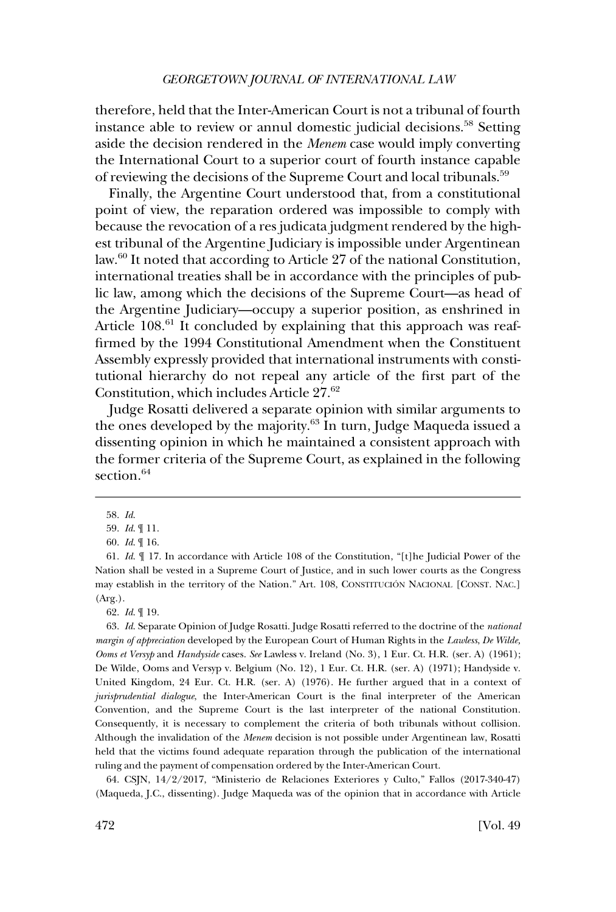therefore, held that the Inter-American Court is not a tribunal of fourth instance able to review or annul domestic judicial decisions.<sup>58</sup> Setting aside the decision rendered in the *Menem* case would imply converting the International Court to a superior court of fourth instance capable of reviewing the decisions of the Supreme Court and local tribunals.<sup>59</sup>

Finally, the Argentine Court understood that, from a constitutional point of view, the reparation ordered was impossible to comply with because the revocation of a res judicata judgment rendered by the highest tribunal of the Argentine Judiciary is impossible under Argentinean law.60 It noted that according to Article 27 of the national Constitution, international treaties shall be in accordance with the principles of public law, among which the decisions of the Supreme Court—as head of the Argentine Judiciary—occupy a superior position, as enshrined in Article 108.<sup>61</sup> It concluded by explaining that this approach was reaffirmed by the 1994 Constitutional Amendment when the Constituent Assembly expressly provided that international instruments with constitutional hierarchy do not repeal any article of the first part of the Constitution, which includes Article 27.62

Judge Rosatti delivered a separate opinion with similar arguments to the ones developed by the majority.<sup>63</sup> In turn, Judge Maqueda issued a dissenting opinion in which he maintained a consistent approach with the former criteria of the Supreme Court, as explained in the following section.<sup>64</sup>

63. *Id*. Separate Opinion of Judge Rosatti. Judge Rosatti referred to the doctrine of the *national margin of appreciation* developed by the European Court of Human Rights in the *Lawless*, *De Wilde, Ooms et Versyp* and *Handyside* cases. *See* Lawless v. Ireland (No. 3), 1 Eur. Ct. H.R. (ser. A) (1961); De Wilde, Ooms and Versyp v. Belgium (No. 12), 1 Eur. Ct. H.R. (ser. A) (1971); Handyside v. United Kingdom, 24 Eur. Ct. H.R. (ser. A) (1976). He further argued that in a context of *jurisprudential dialogue*, the Inter-American Court is the final interpreter of the American Convention, and the Supreme Court is the last interpreter of the national Constitution. Consequently, it is necessary to complement the criteria of both tribunals without collision. Although the invalidation of the *Menem* decision is not possible under Argentinean law, Rosatti held that the victims found adequate reparation through the publication of the international ruling and the payment of compensation ordered by the Inter-American Court.

CSJN, 14/2/2017, "Ministerio de Relaciones Exteriores y Culto," Fallos (2017-340-47) 64. (Maqueda, J.C., dissenting). Judge Maqueda was of the opinion that in accordance with Article

<sup>58.</sup> *Id*.

<sup>59.</sup> *Id*. ¶ 11.

<sup>60.</sup> *Id*. ¶ 16.

<sup>61.</sup> *Id*. ¶ 17. In accordance with Article 108 of the Constitution, "[t]he Judicial Power of the Nation shall be vested in a Supreme Court of Justice, and in such lower courts as the Congress may establish in the territory of the Nation." Art. 108, CONSTITUCIÓN NACIONAL [CONST. NAC.] (Arg.).

<sup>62.</sup> *Id*. ¶ 19.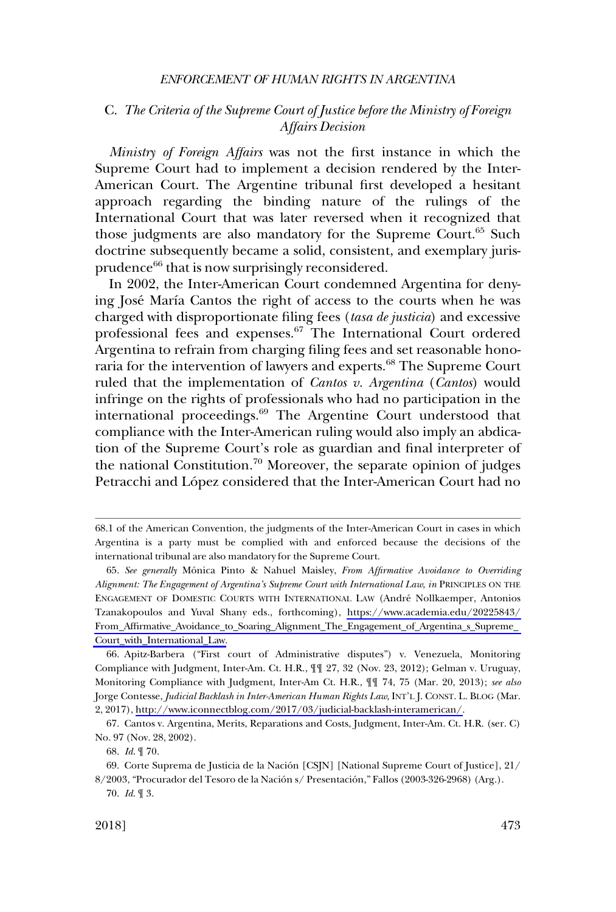## <span id="page-12-0"></span>C. *The Criteria of the Supreme Court of Justice before the Ministry of Foreign Affairs Decision*

*Ministry of Foreign Affairs* was not the first instance in which the Supreme Court had to implement a decision rendered by the Inter-American Court. The Argentine tribunal first developed a hesitant approach regarding the binding nature of the rulings of the International Court that was later reversed when it recognized that those judgments are also mandatory for the Supreme Court.<sup>65</sup> Such doctrine subsequently became a solid, consistent, and exemplary jurisprudence<sup>66</sup> that is now surprisingly reconsidered.

In 2002, the Inter-American Court condemned Argentina for denying José María Cantos the right of access to the courts when he was charged with disproportionate filing fees (*tasa de justicia*) and excessive professional fees and expenses.67 The International Court ordered Argentina to refrain from charging filing fees and set reasonable honoraria for the intervention of lawyers and experts.<sup>68</sup> The Supreme Court ruled that the implementation of *Cantos v. Argentina* (*Cantos*) would infringe on the rights of professionals who had no participation in the international proceedings.<sup>69</sup> The Argentine Court understood that compliance with the Inter-American ruling would also imply an abdication of the Supreme Court's role as guardian and final interpreter of the national Constitution.<sup>70</sup> Moreover, the separate opinion of judges Petracchi and López considered that the Inter-American Court had no

<sup>68.1</sup> of the American Convention, the judgments of the Inter-American Court in cases in which Argentina is a party must be complied with and enforced because the decisions of the international tribunal are also mandatory for the Supreme Court.

<sup>65.</sup> See generally Mónica Pinto & Nahuel Maisley, *From Affirmative Avoidance to Overriding Alignment: The Engagement of Argentina's Supreme Court with International Law*, *in* PRINCIPLES ON THE ENGAGEMENT OF DOMESTIC COURTS WITH INTERNATIONAL LAW (Andre´ Nollkaemper, Antonios Tzanakopoulos and Yuval Shany eds., forthcoming), [https://www.academia.edu/20225843/](https://www.academia.edu/20225843/From_Affirmative_Avoidance_to_Soaring_Alignment_The_Engagement_of_Argentina_s_Supreme_Court_with_International_Law)  [From\\_Affirmative\\_Avoidance\\_to\\_Soaring\\_Alignment\\_The\\_Engagement\\_of\\_Argentina\\_s\\_Supreme\\_](https://www.academia.edu/20225843/From_Affirmative_Avoidance_to_Soaring_Alignment_The_Engagement_of_Argentina_s_Supreme_Court_with_International_Law)  [Court\\_with\\_International\\_Law.](https://www.academia.edu/20225843/From_Affirmative_Avoidance_to_Soaring_Alignment_The_Engagement_of_Argentina_s_Supreme_Court_with_International_Law)

<sup>66.</sup> Apitz-Barbera ("First court of Administrative disputes") v. Venezuela, Monitoring Compliance with Judgment, Inter-Am. Ct. H.R., ¶¶ 27, 32 (Nov. 23, 2012); Gelman v. Uruguay, Monitoring Compliance with Judgment, Inter-Am Ct. H.R., ¶¶ 74, 75 (Mar. 20, 2013); *see also*  Jorge Contesse, *Judicial Backlash in Inter-American Human Rights Law*, INT'L J. CONST. L. BLOG (Mar. 2, 2017), [http://www.iconnectblog.com/2017/03/judicial-backlash-interamerican/.](http://www.iconnectblog.com/2017/03/judicial-backlash-interamerican/)

<sup>67.</sup> Cantos v. Argentina, Merits, Reparations and Costs, Judgment, Inter-Am. Ct. H.R. (ser. C) No. 97 (Nov. 28, 2002).

<sup>68.</sup> *Id*. ¶ 70.

<sup>69.</sup> Corte Suprema de Justicia de la Nación [CSJN] [National Supreme Court of Justice],  $21/$ 8/2003, "Procurador del Tesoro de la Nación s/ Presentación," Fallos (2003-326-2968) (Arg.). 70. *Id*. ¶ 3.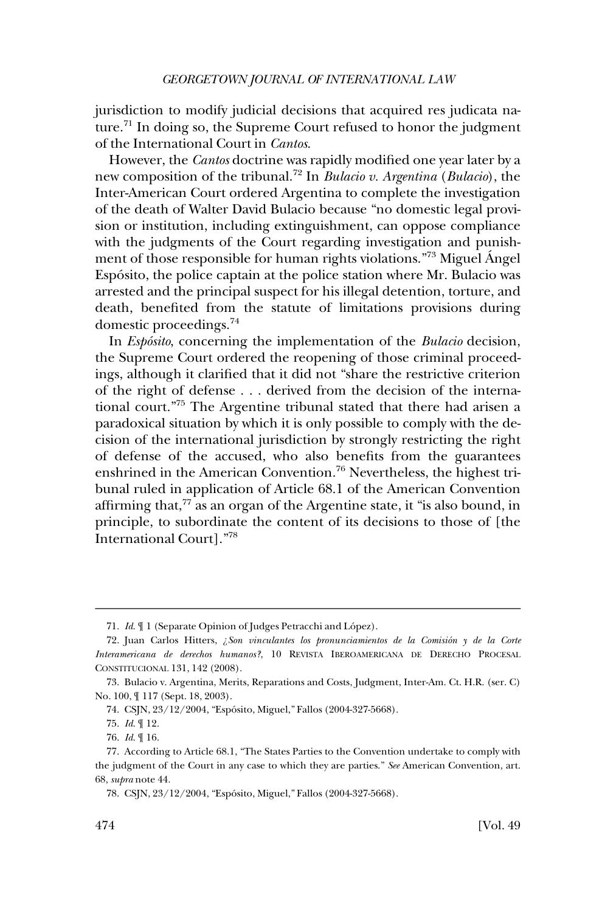jurisdiction to modify judicial decisions that acquired res judicata nature.<sup>71</sup> In doing so, the Supreme Court refused to honor the judgment of the International Court in *Cantos*.

However, the *Cantos* doctrine was rapidly modified one year later by a new composition of the tribunal.<sup>72</sup> In *Bulacio v. Argentina* (*Bulacio*), the Inter-American Court ordered Argentina to complete the investigation of the death of Walter David Bulacio because "no domestic legal provision or institution, including extinguishment, can oppose compliance with the judgments of the Court regarding investigation and punishment of those responsible for human rights violations."<sup>73</sup> Miguel Ángel Espo´sito, the police captain at the police station where Mr. Bulacio was arrested and the principal suspect for his illegal detention, torture, and death, benefited from the statute of limitations provisions during domestic proceedings.74

In *Espo´sito*, concerning the implementation of the *Bulacio* decision, the Supreme Court ordered the reopening of those criminal proceedings, although it clarified that it did not "share the restrictive criterion of the right of defense . . . derived from the decision of the international court."75 The Argentine tribunal stated that there had arisen a paradoxical situation by which it is only possible to comply with the decision of the international jurisdiction by strongly restricting the right of defense of the accused, who also benefits from the guarantees enshrined in the American Convention.<sup>76</sup> Nevertheless, the highest tribunal ruled in application of Article 68.1 of the American Convention affirming that, $77$  as an organ of the Argentine state, it "is also bound, in principle, to subordinate the content of its decisions to those of [the International Court]."78

<sup>71.</sup> *Id.*  $\llbracket$  1 (Separate Opinion of Judges Petracchi and López).

<sup>72.</sup> Juan Carlos Hitters, ¿Son vinculantes los pronunciamientos de la Comisión y de la Corte *Interamericana de derechos humanos?*, 10 REVISTA IBEROAMERICANA DE DERECHO PROCESAL CONSTITUCIONAL 131, 142 (2008).

<sup>73.</sup> Bulacio v. Argentina, Merits, Reparations and Costs, Judgment, Inter-Am. Ct. H.R. (ser. C) No. 100, ¶ 117 (Sept. 18, 2003).

<sup>74.</sup> CSJN, 23/12/2004, "Espósito, Miguel," Fallos (2004-327-5668).

<sup>75.</sup> *Id*. ¶ 12.

<sup>76.</sup> *Id*. ¶ 16.

<sup>77.</sup> According to Article 68.1, "The States Parties to the Convention undertake to comply with the judgment of the Court in any case to which they are parties." *See* American Convention, art. 68, *supra* note 44.

<sup>78.</sup> CSJN, 23/12/2004, "Espósito, Miguel," Fallos (2004-327-5668).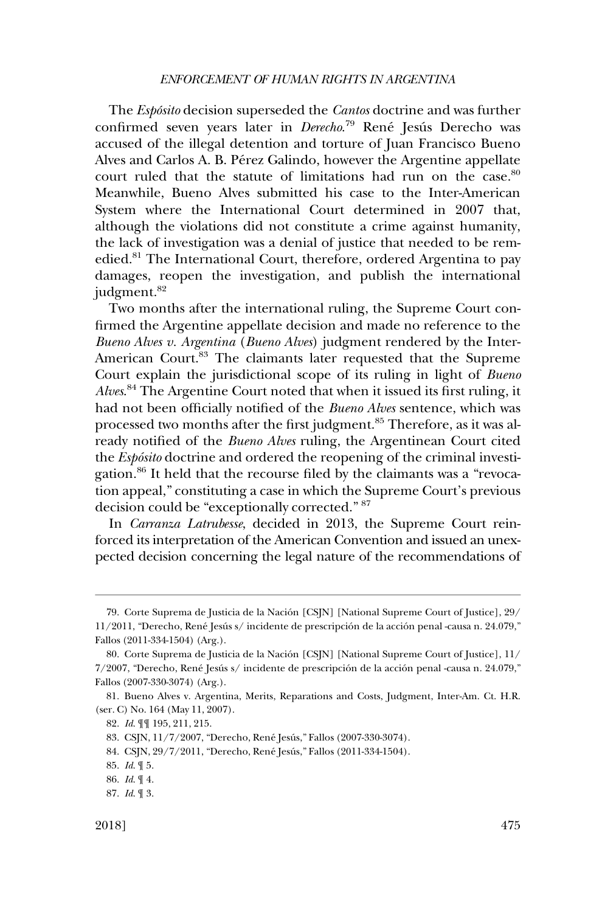The *Espo´sito* decision superseded the *Cantos* doctrine and was further confirmed seven years later in *Derecho*.<sup>79</sup> René Jesús Derecho was accused of the illegal detention and torture of Juan Francisco Bueno Alves and Carlos A. B. Pérez Galindo, however the Argentine appellate court ruled that the statute of limitations had run on the case.<sup>80</sup> Meanwhile, Bueno Alves submitted his case to the Inter-American System where the International Court determined in 2007 that, although the violations did not constitute a crime against humanity, the lack of investigation was a denial of justice that needed to be remedied.<sup>81</sup> The International Court, therefore, ordered Argentina to pay damages, reopen the investigation, and publish the international judgment.<sup>82</sup>

Two months after the international ruling, the Supreme Court confirmed the Argentine appellate decision and made no reference to the *Bueno Alves v. Argentina* (*Bueno Alves*) judgment rendered by the Inter-American Court.<sup>83</sup> The claimants later requested that the Supreme Court explain the jurisdictional scope of its ruling in light of *Bueno Alves*. 84 The Argentine Court noted that when it issued its first ruling, it had not been officially notified of the *Bueno Alves* sentence, which was processed two months after the first judgment.<sup>85</sup> Therefore, as it was already notified of the *Bueno Alves* ruling, the Argentinean Court cited the *Espo´sito* doctrine and ordered the reopening of the criminal investigation.86 It held that the recourse filed by the claimants was a "revocation appeal," constituting a case in which the Supreme Court's previous decision could be "exceptionally corrected." 87

In *Carranza Latrubesse*, decided in 2013, the Supreme Court reinforced its interpretation of the American Convention and issued an unexpected decision concerning the legal nature of the recommendations of

<sup>79.</sup> Corte Suprema de Justicia de la Nación [CSJN] [National Supreme Court of Justice], 29/  $11/2011$ , "Derecho, René Jesús s/ incidente de prescripción de la acción penal -causa n. 24.079," Fallos (2011-334-1504) (Arg.).

<sup>80.</sup> Corte Suprema de Justicia de la Nación [CSJN] [National Supreme Court of Justice], 11/ 7/2007, "Derecho, René Jesús s/ incidente de prescripción de la acción penal -causa n. 24.079," Fallos (2007-330-3074) (Arg.).

<sup>81.</sup> Bueno Alves v. Argentina, Merits, Reparations and Costs, Judgment, Inter-Am. Ct. H.R. (ser. C) No. 164 (May 11, 2007).

<sup>82.</sup> *Id*. ¶¶ 195, 211, 215.

<sup>83.</sup> CSJN, 11/7/2007, "Derecho, René Jesús," Fallos (2007-330-3074).

<sup>84.</sup> CSJN, 29/7/2011, "Derecho, René Jesús," Fallos (2011-334-1504).

<sup>85.</sup> *Id*. ¶ 5.

<sup>86.</sup> *Id*. ¶ 4.

<sup>87.</sup> *Id*. ¶ 3.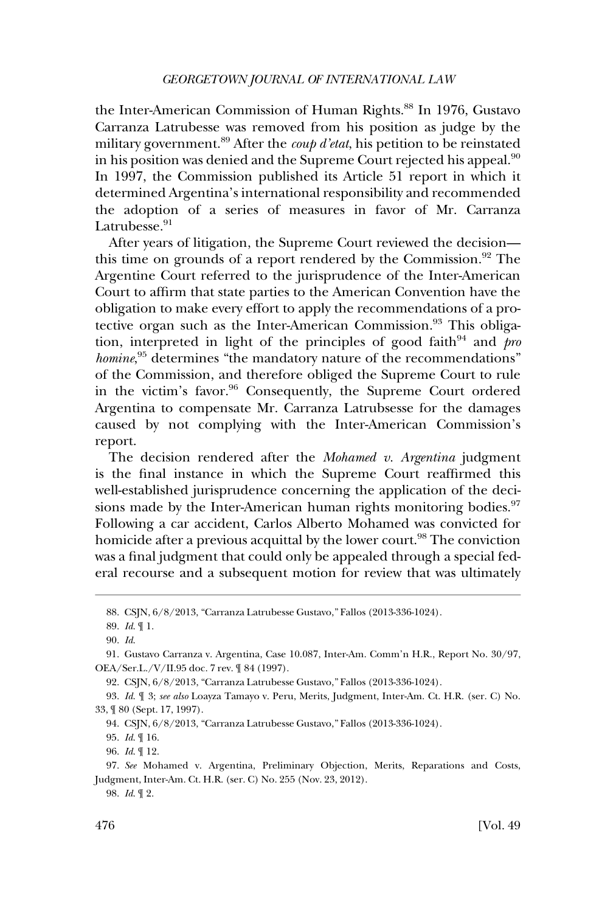the Inter-American Commission of Human Rights.<sup>88</sup> In 1976, Gustavo Carranza Latrubesse was removed from his position as judge by the military government.89 After the *coup d'etat*, his petition to be reinstated in his position was denied and the Supreme Court rejected his appeal.<sup>90</sup> In 1997, the Commission published its Article 51 report in which it determined Argentina's international responsibility and recommended the adoption of a series of measures in favor of Mr. Carranza Latrubesse.<sup>91</sup>

After years of litigation, the Supreme Court reviewed the decision this time on grounds of a report rendered by the Commission. $92$  The Argentine Court referred to the jurisprudence of the Inter-American Court to affirm that state parties to the American Convention have the obligation to make every effort to apply the recommendations of a protective organ such as the Inter-American Commission.<sup>93</sup> This obligation, interpreted in light of the principles of good faith<sup>94</sup> and  $\frac{p}{r}$ homine,<sup>95</sup> determines "the mandatory nature of the recommendations" of the Commission, and therefore obliged the Supreme Court to rule in the victim's favor.<sup>96</sup> Consequently, the Supreme Court ordered Argentina to compensate Mr. Carranza Latrubsesse for the damages caused by not complying with the Inter-American Commission's report.

The decision rendered after the *Mohamed v. Argentina* judgment is the final instance in which the Supreme Court reaffirmed this well-established jurisprudence concerning the application of the decisions made by the Inter-American human rights monitoring bodies.<sup>97</sup> Following a car accident, Carlos Alberto Mohamed was convicted for homicide after a previous acquittal by the lower court.<sup>98</sup> The conviction was a final judgment that could only be appealed through a special federal recourse and a subsequent motion for review that was ultimately

89. *Id*. ¶ 1.

95. *Id*. ¶ 16.

98. *Id*. ¶ 2.

CSJN, 6/8/2013, "Carranza Latrubesse Gustavo," Fallos (2013-336-1024). 88.

<sup>90.</sup> *Id*.

<sup>91.</sup> Gustavo Carranza v. Argentina, Case 10.087, Inter-Am. Comm'n H.R., Report No. 30/97, OEA/Ser.L./V/II.95 doc. 7 rev. ¶ 84 (1997).

CSJN, 6/8/2013, "Carranza Latrubesse Gustavo," Fallos (2013-336-1024). 92.

<sup>93.</sup> *Id*. ¶ 3; *see also* Loayza Tamayo v. Peru, Merits, Judgment, Inter-Am. Ct. H.R. (ser. C) No. 33, ¶ 80 (Sept. 17, 1997).

CSJN, 6/8/2013, "Carranza Latrubesse Gustavo," Fallos (2013-336-1024). 94.

<sup>96.</sup> *Id*. ¶ 12.

<sup>97.</sup> *See* Mohamed v. Argentina, Preliminary Objection, Merits, Reparations and Costs, Judgment, Inter-Am. Ct. H.R. (ser. C) No. 255 (Nov. 23, 2012).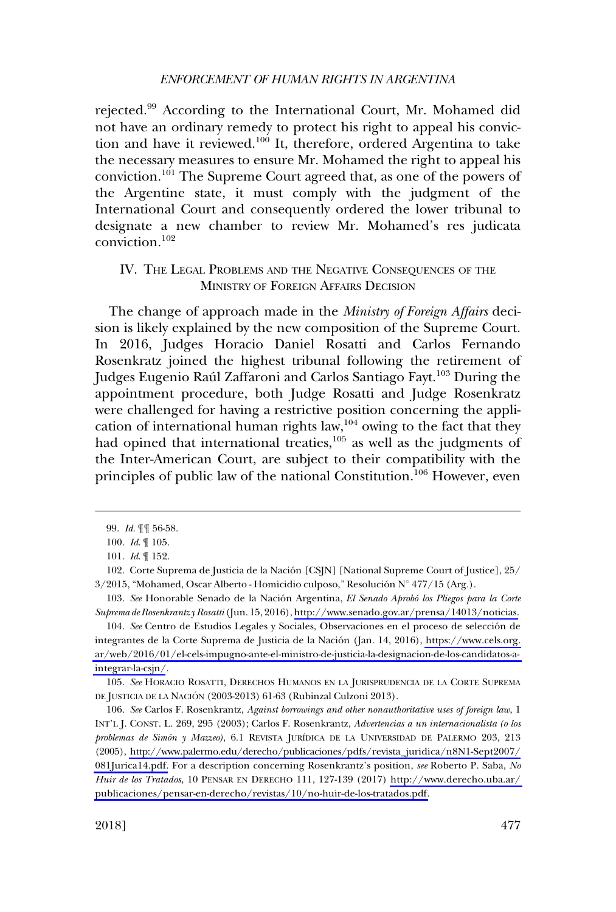<span id="page-16-0"></span>rejected.99 According to the International Court, Mr. Mohamed did not have an ordinary remedy to protect his right to appeal his conviction and have it reviewed.<sup>100</sup> It, therefore, ordered Argentina to take the necessary measures to ensure Mr. Mohamed the right to appeal his conviction.101 The Supreme Court agreed that, as one of the powers of the Argentine state, it must comply with the judgment of the International Court and consequently ordered the lower tribunal to designate a new chamber to review Mr. Mohamed's res judicata conviction.102

## IV. THE LEGAL PROBLEMS AND THE NEGATIVE CONSEQUENCES OF THE MINISTRY OF FOREIGN AFFAIRS DECISION

The change of approach made in the *Ministry of Foreign Affairs* decision is likely explained by the new composition of the Supreme Court. In 2016, Judges Horacio Daniel Rosatti and Carlos Fernando Rosenkratz joined the highest tribunal following the retirement of Judges Eugenio Raúl Zaffaroni and Carlos Santiago Fayt.<sup>103</sup> During the appointment procedure, both Judge Rosatti and Judge Rosenkratz were challenged for having a restrictive position concerning the application of international human rights law, $104$  owing to the fact that they had opined that international treaties, $105$  as well as the judgments of the Inter-American Court, are subject to their compatibility with the principles of public law of the national Constitution.<sup>106</sup> However, even

103. See Honorable Senado de la Nación Argentina, *El Senado Aprobó los Pliegos para la Corte Suprema de Rosenkrantz y Rosatti* (Jun. 15, 2016), [http://www.senado.gov.ar/prensa/14013/noticias.](http://www.senado.gov.ar/prensa/14013/noticias)

105. *See* HORACIO ROSATTI, DERECHOS HUMANOS EN LA JURISPRUDENCIA DE LA CORTE SUPREMA DE JUSTICIA DE LA NACIÓN (2003-2013) 61-63 (Rubinzal Culzoni 2013).

106. *See* Carlos F. Rosenkrantz, *Against borrowings and other nonauthoritative uses of foreign law*, 1 INT'L J. CONST. L. 269, 295 (2003); Carlos F. Rosenkrantz, *Advertencias a un internacionalista (o los problemas de Simón y Mazzeo)*, 6.1 REVISTA JURÍDICA DE LA UNIVERSIDAD DE PALERMO 203, 213 (2005), [http://www.palermo.edu/derecho/publicaciones/pdfs/revista\\_juridica/n8N1-Sept2007/](http://www.palermo.edu/derecho/publicaciones/pdfs/revista_juridica/n8N1-Sept2007/081Jurica14.pdf) [081Jurica14.pdf.](http://www.palermo.edu/derecho/publicaciones/pdfs/revista_juridica/n8N1-Sept2007/081Jurica14.pdf) For a description concerning Rosenkrantz's position, *see* Roberto P. Saba, *No Huir de los Tratados*, 10 PENSAR EN DERECHO 111, 127-139 (2017) [http://www.derecho.uba.ar/](http://www.derecho.uba.ar/publicaciones/pensar-en-derecho/revistas/10/no-huir-de-los-tratados.pdf)  [publicaciones/pensar-en-derecho/revistas/10/no-huir-de-los-tratados.pdf.](http://www.derecho.uba.ar/publicaciones/pensar-en-derecho/revistas/10/no-huir-de-los-tratados.pdf)

<sup>99.</sup> *Id*. ¶¶ 56-58.

<sup>100.</sup> *Id*. ¶ 105.

<sup>101.</sup> *Id*. ¶ 152.

<sup>102.</sup> Corte Suprema de Justicia de la Nación [CSJN] [National Supreme Court of Justice], 25/  $3/2015$ , "Mohamed, Oscar Alberto - Homicidio culposo," Resolución N° 477/15 (Arg.).

<sup>104.</sup> See Centro de Estudios Legales y Sociales, Observaciones en el proceso de selección de integrantes de la Corte Suprema de Justicia de la Nación (Jan. 14, 2016), [https://www.cels.org.](https://www.cels.org.ar/web/2016/01/el-cels-impugno-ante-el-ministro-de-justicia-la-designacion-de-los-candidatos-a-integrar-la-csjn/) [ar/web/2016/01/el-cels-impugno-ante-el-ministro-de-justicia-la-designacion-de-los-candidatos-a](https://www.cels.org.ar/web/2016/01/el-cels-impugno-ante-el-ministro-de-justicia-la-designacion-de-los-candidatos-a-integrar-la-csjn/)[integrar-la-csjn/](https://www.cels.org.ar/web/2016/01/el-cels-impugno-ante-el-ministro-de-justicia-la-designacion-de-los-candidatos-a-integrar-la-csjn/).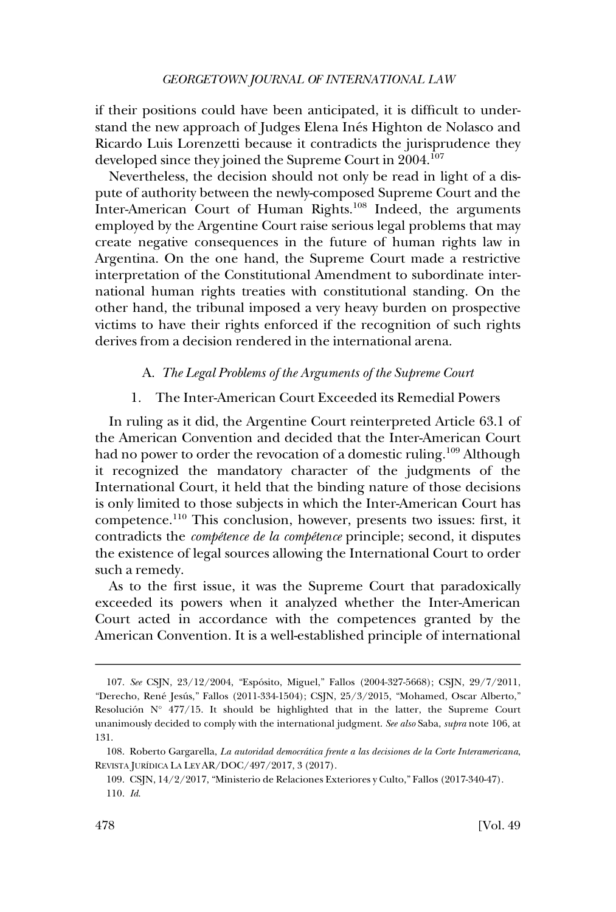<span id="page-17-0"></span>if their positions could have been anticipated, it is difficult to understand the new approach of Judges Elena Inés Highton de Nolasco and Ricardo Luis Lorenzetti because it contradicts the jurisprudence they developed since they joined the Supreme Court in 2004.<sup>107</sup>

Nevertheless, the decision should not only be read in light of a dispute of authority between the newly-composed Supreme Court and the Inter-American Court of Human Rights.<sup>108</sup> Indeed, the arguments employed by the Argentine Court raise serious legal problems that may create negative consequences in the future of human rights law in Argentina. On the one hand, the Supreme Court made a restrictive interpretation of the Constitutional Amendment to subordinate international human rights treaties with constitutional standing. On the other hand, the tribunal imposed a very heavy burden on prospective victims to have their rights enforced if the recognition of such rights derives from a decision rendered in the international arena.

## A. *The Legal Problems of the Arguments of the Supreme Court*

### 1. The Inter-American Court Exceeded its Remedial Powers

In ruling as it did, the Argentine Court reinterpreted Article 63.1 of the American Convention and decided that the Inter-American Court had no power to order the revocation of a domestic ruling.<sup>109</sup> Although it recognized the mandatory character of the judgments of the International Court, it held that the binding nature of those decisions is only limited to those subjects in which the Inter-American Court has competence.110 This conclusion, however, presents two issues: first, it contradicts the *compétence de la compétence* principle; second, it disputes the existence of legal sources allowing the International Court to order such a remedy.

As to the first issue, it was the Supreme Court that paradoxically exceeded its powers when it analyzed whether the Inter-American Court acted in accordance with the competences granted by the American Convention. It is a well-established principle of international

<sup>107.</sup> *See* CSJN, 23/12/2004, "Espo´sito, Miguel," Fallos (2004-327-5668); CSJN, 29/7/2011, "Derecho, René Jesús," Fallos (2011-334-1504); CSJN, 25/3/2015, "Mohamed, Oscar Alberto," Resolución  $N^{\circ}$  477/15. It should be highlighted that in the latter, the Supreme Court unanimously decided to comply with the international judgment. *See also* Saba, *supra* note 106, at 131.

<sup>108.</sup> Roberto Gargarella, *La autoridad democrática frente a las decisiones de la Corte Interamericana*, REVISTA JURÍDICA LA LEY AR/DOC/497/2017, 3 (2017).

CSJN, 14/2/2017, "Ministerio de Relaciones Exteriores y Culto," Fallos (2017-340-47). 109. 110. *Id*.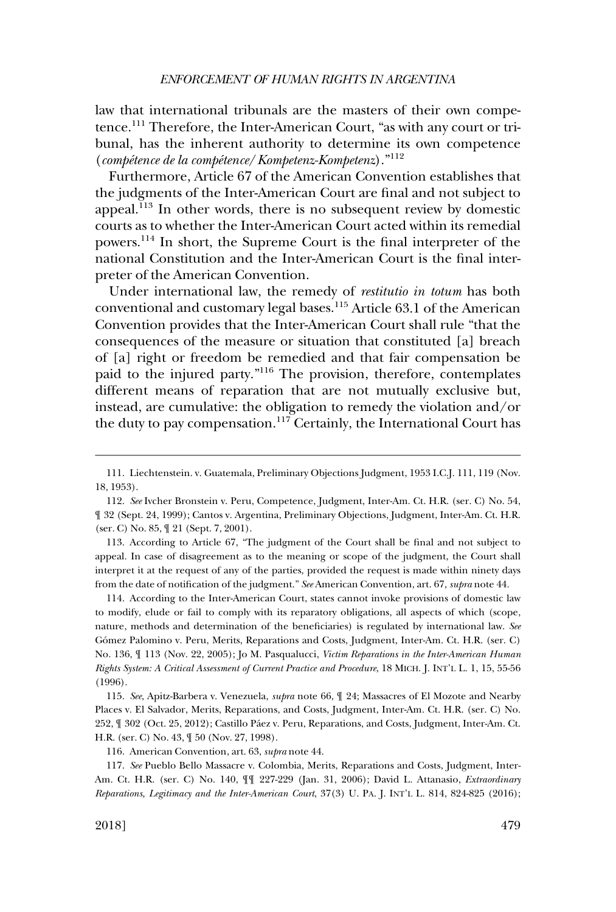law that international tribunals are the masters of their own competence.111 Therefore, the Inter-American Court, "as with any court or tribunal, has the inherent authority to determine its own competence (*compe´tence de la compe´tence*/*Kompetenz-Kompetenz*)."<sup>112</sup>

Furthermore, Article 67 of the American Convention establishes that the judgments of the Inter-American Court are final and not subject to appeal. $^{113}$  In other words, there is no subsequent review by domestic courts as to whether the Inter-American Court acted within its remedial powers.114 In short, the Supreme Court is the final interpreter of the national Constitution and the Inter-American Court is the final interpreter of the American Convention.

Under international law, the remedy of *restitutio in totum* has both conventional and customary legal bases.<sup>115</sup> Article 63.1 of the American Convention provides that the Inter-American Court shall rule "that the consequences of the measure or situation that constituted [a] breach of [a] right or freedom be remedied and that fair compensation be paid to the injured party."116 The provision, therefore, contemplates different means of reparation that are not mutually exclusive but, instead, are cumulative: the obligation to remedy the violation and/or the duty to pay compensation.<sup>117</sup> Certainly, the International Court has

113. According to Article 67, "The judgment of the Court shall be final and not subject to appeal. In case of disagreement as to the meaning or scope of the judgment, the Court shall interpret it at the request of any of the parties, provided the request is made within ninety days from the date of notification of the judgment." *See* American Convention, art. 67, *supra* note 44.

114. According to the Inter-American Court, states cannot invoke provisions of domestic law to modify, elude or fail to comply with its reparatory obligations, all aspects of which (scope, nature, methods and determination of the beneficiaries) is regulated by international law. *See*  Gómez Palomino v. Peru, Merits, Reparations and Costs, Judgment, Inter-Am. Ct. H.R. (ser. C) No. 136, ¶ 113 (Nov. 22, 2005); Jo M. Pasqualucci, *Victim Reparations in the Inter-American Human Rights System: A Critical Assessment of Current Practice and Procedure*, 18 MICH. J. INT'L L. 1, 15, 55-56 (1996).

115. *See*, Apitz-Barbera v. Venezuela, *supra* note 66, ¶ 24; Massacres of El Mozote and Nearby Places v. El Salvador, Merits, Reparations, and Costs, Judgment, Inter-Am. Ct. H.R. (ser. C) No. 252,  $\P$  302 (Oct. 25, 2012); Castillo Páez v. Peru, Reparations, and Costs, Judgment, Inter-Am. Ct. H.R. (ser. C) No. 43, ¶ 50 (Nov. 27, 1998).

116. American Convention, art. 63, *supra* note 44.

117. *See* Pueblo Bello Massacre v. Colombia, Merits, Reparations and Costs, Judgment, Inter-Am. Ct. H.R. (ser. C) No. 140, ¶¶ 227-229 (Jan. 31, 2006); David L. Attanasio, *Extraordinary Reparations, Legitimacy and the Inter-American Court*, 37(3) U. PA. J. INT'L L. 814, 824-825 (2016);

<sup>111.</sup> Liechtenstein. v. Guatemala, Preliminary Objections Judgment, 1953 I.C.J. 111, 119 (Nov. 18, 1953).

<sup>112.</sup> *See* Ivcher Bronstein v. Peru, Competence, Judgment, Inter-Am. Ct. H.R. (ser. C) No. 54, ¶ 32 (Sept. 24, 1999); Cantos v. Argentina, Preliminary Objections, Judgment, Inter-Am. Ct. H.R. (ser. C) No. 85, ¶ 21 (Sept. 7, 2001).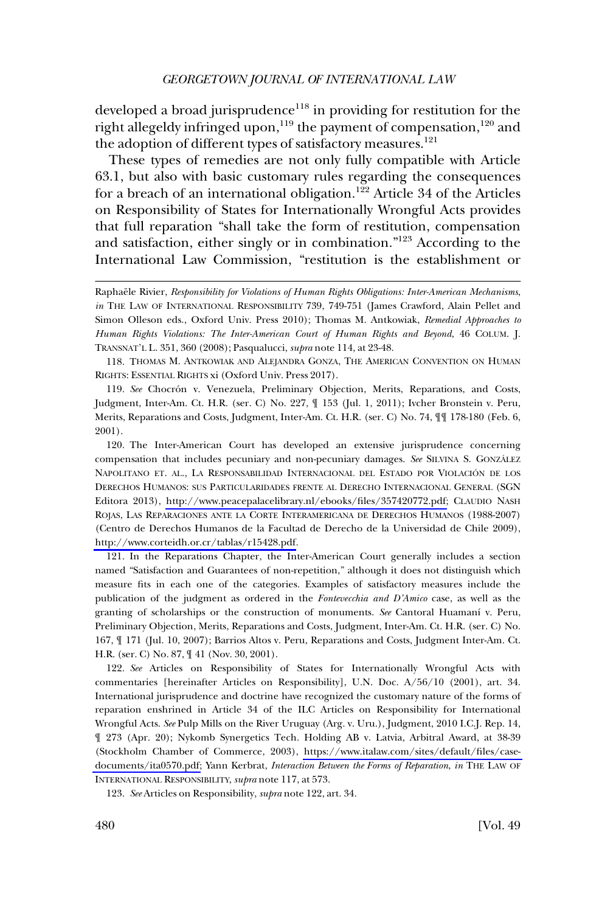developed a broad jurisprudence<sup>118</sup> in providing for restitution for the right allegeldy infringed upon,<sup>119</sup> the payment of compensation,<sup>120</sup> and the adoption of different types of satisfactory measures.<sup>121</sup>

These types of remedies are not only fully compatible with Article 63.1, but also with basic customary rules regarding the consequences for a breach of an international obligation.<sup>122</sup> Article 34 of the Articles on Responsibility of States for Internationally Wrongful Acts provides that full reparation "shall take the form of restitution, compensation and satisfaction, either singly or in combination."123 According to the International Law Commission, "restitution is the establishment or

118. THOMAS M. ANTKOWIAK AND ALEJANDRA GONZA, THE AMERICAN CONVENTION ON HUMAN RIGHTS: ESSENTIAL RIGHTS xi (Oxford Univ. Press 2017).

119. *See* Chocrón v. Venezuela, Preliminary Objection, Merits, Reparations, and Costs, Judgment, Inter-Am. Ct. H.R. (ser. C) No. 227, ¶ 153 (Jul. 1, 2011); Ivcher Bronstein v. Peru, Merits, Reparations and Costs, Judgment, Inter-Am. Ct. H.R. (ser. C) No. 74, ¶¶ 178-180 (Feb. 6, 2001).

120. The Inter-American Court has developed an extensive jurisprudence concerning compensation that includes pecuniary and non-pecuniary damages. *See* SILVINA S. GONZALEZ ´ NAPOLITANO ET. AL., LA RESPONSABILIDAD INTERNACIONAL DEL ESTADO POR VIOLACIÓN DE LOS DERECHOS HUMANOS: SUS PARTICULARIDADES FRENTE AL DERECHO INTERNACIONAL GENERAL (SGN Editora 2013), [http://www.peacepalacelibrary.nl/ebooks/files/357420772.pdf;](http://www.peacepalacelibrary.nl/ebooks/files/357420772.pdf) CLAUDIO NASH ROJAS, LAS REPARACIONES ANTE LA CORTE INTERAMERICANA DE DERECHOS HUMANOS (1988-2007) (Centro de Derechos Humanos de la Facultad de Derecho de la Universidad de Chile 2009), [http://www.corteidh.or.cr/tablas/r15428.pdf.](http://www.corteidh.or.cr/tablas/r15428.pdf)

121. In the Reparations Chapter, the Inter-American Court generally includes a section named "Satisfaction and Guarantees of non-repetition," although it does not distinguish which measure fits in each one of the categories. Examples of satisfactory measures include the publication of the judgment as ordered in the *Fontevecchia and D'Amico* case, as well as the granting of scholarships or the construction of monuments. *See* Cantoral Huamanı´ v. Peru, Preliminary Objection, Merits, Reparations and Costs, Judgment, Inter-Am. Ct. H.R. (ser. C) No. 167, ¶ 171 (Jul. 10, 2007); Barrios Altos v. Peru, Reparations and Costs, Judgment Inter-Am. Ct. H.R. (ser. C) No. 87, ¶ 41 (Nov. 30, 2001).

122. See Articles on Responsibility of States for Internationally Wrongful Acts with commentaries [hereinafter Articles on Responsibility], U.N. Doc. A/56/10 (2001), art. 34. International jurisprudence and doctrine have recognized the customary nature of the forms of reparation enshrined in Article 34 of the ILC Articles on Responsibility for International Wrongful Acts. *See* Pulp Mills on the River Uruguay (Arg. v. Uru.), Judgment, 2010 I.C.J. Rep. 14, ¶ 273 (Apr. 20); Nykomb Synergetics Tech. Holding AB v. Latvia, Arbitral Award, at 38-39 (Stockholm Chamber of Commerce, 2003), [https://www.italaw.com/sites/default/files/case](https://www.italaw.com/sites/default/files/case-documents/ita0570.pdf)[documents/ita0570.pdf;](https://www.italaw.com/sites/default/files/case-documents/ita0570.pdf) Yann Kerbrat, *Interaction Between the Forms of Reparation*, *in* THE LAW OF INTERNATIONAL RESPONSIBILITY, *supra* note 117, at 573.

123. *See* Articles on Responsibility, *supra* note 122, art. 34.

Raphaele Rivier, *Responsibility for Violations of Human Rights Obligations: Inter-American Mechanisms*, *in* THE LAW OF INTERNATIONAL RESPONSIBILITY 739, 749-751 (James Crawford, Alain Pellet and Simon Olleson eds., Oxford Univ. Press 2010); Thomas M. Antkowiak, *Remedial Approaches to Human Rights Violations: The Inter-American Court of Human Rights and Beyond*, 46 COLUM. J. TRANSNAT'L L. 351, 360 (2008); Pasqualucci, *supra* note 114, at 23-48.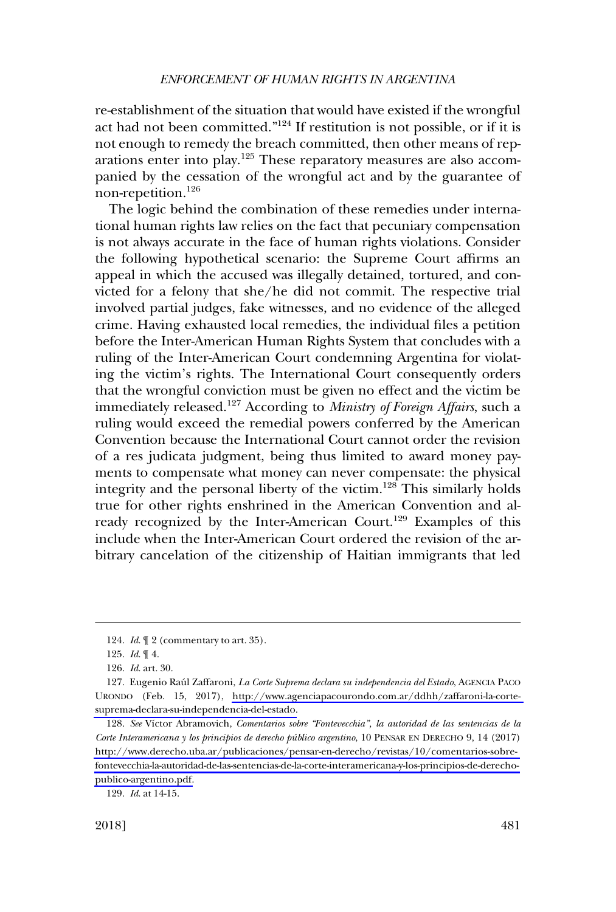re-establishment of the situation that would have existed if the wrongful act had not been committed."<sup>124</sup> If restitution is not possible, or if it is not enough to remedy the breach committed, then other means of reparations enter into play.125 These reparatory measures are also accompanied by the cessation of the wrongful act and by the guarantee of non-repetition.126

The logic behind the combination of these remedies under international human rights law relies on the fact that pecuniary compensation is not always accurate in the face of human rights violations. Consider the following hypothetical scenario: the Supreme Court affirms an appeal in which the accused was illegally detained, tortured, and convicted for a felony that she/he did not commit. The respective trial involved partial judges, fake witnesses, and no evidence of the alleged crime. Having exhausted local remedies, the individual files a petition before the Inter-American Human Rights System that concludes with a ruling of the Inter-American Court condemning Argentina for violating the victim's rights. The International Court consequently orders that the wrongful conviction must be given no effect and the victim be immediately released.127 According to *Ministry of Foreign Affairs*, such a ruling would exceed the remedial powers conferred by the American Convention because the International Court cannot order the revision of a res judicata judgment, being thus limited to award money payments to compensate what money can never compensate: the physical integrity and the personal liberty of the victim.<sup>128</sup> This similarly holds true for other rights enshrined in the American Convention and already recognized by the Inter-American Court.<sup>129</sup> Examples of this include when the Inter-American Court ordered the revision of the arbitrary cancelation of the citizenship of Haitian immigrants that led

<sup>124.</sup> *Id*. ¶ 2 (commentary to art. 35).

<sup>125.</sup> *Id*. ¶ 4.

<sup>126.</sup> *Id*. art. 30.

<sup>127.</sup> Eugenio Raúl Zaffaroni, *La Corte Suprema declara su independencia del Estado*, AGENCIA PACO URONDO (Feb. 15, 2017), [http://www.agenciapacourondo.com.ar/ddhh/zaffaroni-la-corte](http://www.agenciapacourondo.com.ar/ddhh/zaffaroni-la-corte-suprema-declara-su-independencia-del-estado)[suprema-declara-su-independencia-del-estado.](http://www.agenciapacourondo.com.ar/ddhh/zaffaroni-la-corte-suprema-declara-su-independencia-del-estado)

<sup>128.</sup> See Víctor Abramovich, *Comentarios sobre "Fontevecchia", la autoridad de las sentencias de la Corte Interamericana y los principios de derecho pu´blico argentino*, 10 PENSAR EN DERECHO 9, 14 (2017) [http://www.derecho.uba.ar/publicaciones/pensar-en-derecho/revistas/10/comentarios-sobre](http://www.derecho.uba.ar/publicaciones/pensar-en-derecho/revistas/10/comentarios-sobre-fontevecchia-la-autoridad-de-las-sentencias-de-la-corte-interamericana-y-los-principios-de-derecho-publico-argentino.pdf)[fontevecchia-la-autoridad-de-las-sentencias-de-la-corte-interamericana-y-los-principios-de-derecho](http://www.derecho.uba.ar/publicaciones/pensar-en-derecho/revistas/10/comentarios-sobre-fontevecchia-la-autoridad-de-las-sentencias-de-la-corte-interamericana-y-los-principios-de-derecho-publico-argentino.pdf)[publico-argentino.pdf.](http://www.derecho.uba.ar/publicaciones/pensar-en-derecho/revistas/10/comentarios-sobre-fontevecchia-la-autoridad-de-las-sentencias-de-la-corte-interamericana-y-los-principios-de-derecho-publico-argentino.pdf)

<sup>129.</sup> *Id*. at 14-15.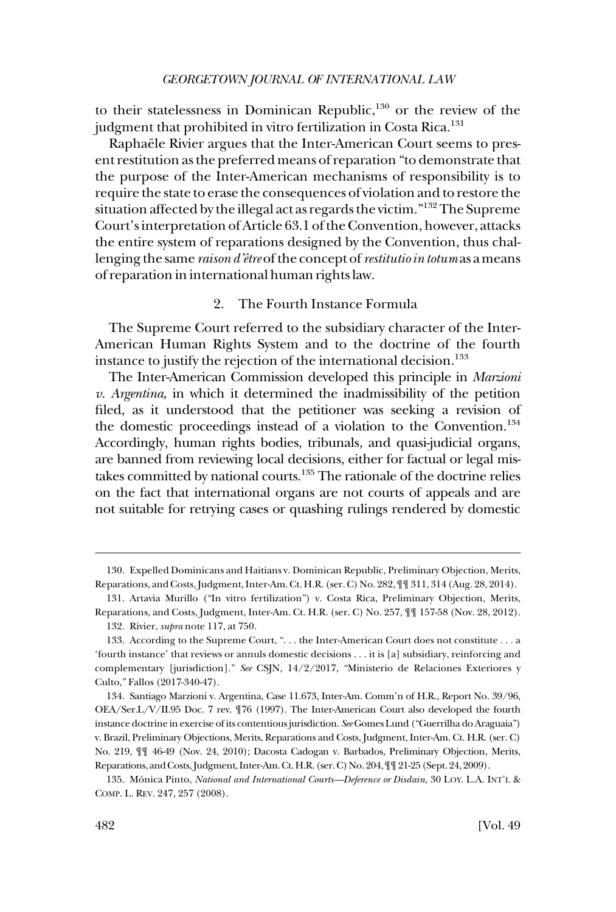<span id="page-21-0"></span>to their statelessness in Dominican Republic,<sup>130</sup> or the review of the judgment that prohibited in vitro fertilization in Costa Rica.<sup>131</sup>

Raphaële Rivier argues that the Inter-American Court seems to present restitution as the preferred means of reparation "to demonstrate that the purpose of the Inter-American mechanisms of responsibility is to require the state to erase the consequences of violation and to restore the situation affected by the illegal act as regards the victim."132 The Supreme Court's interpretation of Article 63.1 of the Convention, however, attacks the entire system of reparations designed by the Convention, thus challenging the same *raison d'eˆtre* of the concept of *restitutio in totum* as a means of reparation in international human rights law.

### 2. The Fourth Instance Formula

The Supreme Court referred to the subsidiary character of the Inter-American Human Rights System and to the doctrine of the fourth instance to justify the rejection of the international decision.<sup>133</sup>

The Inter-American Commission developed this principle in *Marzioni v. Argentina*, in which it determined the inadmissibility of the petition filed, as it understood that the petitioner was seeking a revision of the domestic proceedings instead of a violation to the Convention.<sup>134</sup> Accordingly, human rights bodies, tribunals, and quasi-judicial organs, are banned from reviewing local decisions, either for factual or legal mistakes committed by national courts.<sup>135</sup> The rationale of the doctrine relies on the fact that international organs are not courts of appeals and are not suitable for retrying cases or quashing rulings rendered by domestic

<sup>130.</sup> Expelled Dominicans and Haitians v. Dominican Republic, Preliminary Objection, Merits, Reparations, and Costs, Judgment, Inter-Am. Ct. H.R. (ser. C) No. 282, ¶¶ 311, 314 (Aug. 28, 2014).

<sup>131.</sup> Artavia Murillo ("In vitro fertilization") v. Costa Rica, Preliminary Objection, Merits, Reparations, and Costs, Judgment, Inter-Am. Ct. H.R. (ser. C) No. 257, ¶¶ 157-58 (Nov. 28, 2012).

<sup>132.</sup> Rivier, *supra* note 117, at 750.

<sup>133.</sup> According to the Supreme Court, "... the Inter-American Court does not constitute ... a 'fourth instance' that reviews or annuls domestic decisions . . . it is [a] subsidiary, reinforcing and complementary [jurisdiction]." *See* CSJN, 14/2/2017, "Ministerio de Relaciones Exteriores y Culto," Fallos (2017-340-47).

<sup>134.</sup> Santiago Marzioni v. Argentina, Case 11.673, Inter-Am. Comm'n of H.R., Report No. 39/96, OEA/Ser.L/V/II.95 Doc. 7 rev. ¶76 (1997). The Inter-American Court also developed the fourth instance doctrine in exercise of its contentious jurisdiction. *See* Gomes Lund ("Guerrilha do Araguaia") v. Brazil, Preliminary Objections, Merits, Reparations and Costs, Judgment, Inter-Am. Ct. H.R. (ser. C) No. 219, ¶¶ 46-49 (Nov. 24, 2010); Dacosta Cadogan v. Barbados, Preliminary Objection, Merits, Reparations, and Costs, Judgment, Inter-Am. Ct. H.R. (ser. C) No. 204, ¶¶ 21-25 (Sept. 24, 2009).

<sup>135.</sup> Mo´nica Pinto, *National and International Courts—Deference or Disdain*, 30 LOY. L.A. INT'L & COMP. L. REV. 247, 257 (2008).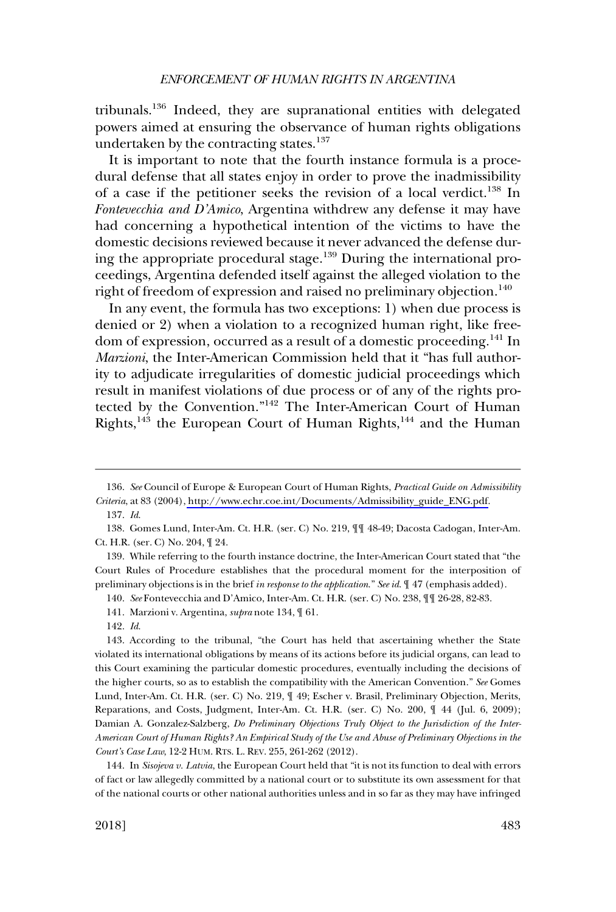tribunals.<sup>136</sup> Indeed, they are supranational entities with delegated powers aimed at ensuring the observance of human rights obligations undertaken by the contracting states.<sup>137</sup>

It is important to note that the fourth instance formula is a procedural defense that all states enjoy in order to prove the inadmissibility of a case if the petitioner seeks the revision of a local verdict.138 In *Fontevecchia and D'Amico*, Argentina withdrew any defense it may have had concerning a hypothetical intention of the victims to have the domestic decisions reviewed because it never advanced the defense during the appropriate procedural stage. $139$  During the international proceedings, Argentina defended itself against the alleged violation to the right of freedom of expression and raised no preliminary objection.<sup>140</sup>

In any event, the formula has two exceptions: 1) when due process is denied or 2) when a violation to a recognized human right, like freedom of expression, occurred as a result of a domestic proceeding.141 In *Marzioni*, the Inter-American Commission held that it "has full authority to adjudicate irregularities of domestic judicial proceedings which result in manifest violations of due process or of any of the rights protected by the Convention."142 The Inter-American Court of Human Rights,<sup>143</sup> the European Court of Human Rights,<sup>144</sup> and the Human

139. While referring to the fourth instance doctrine, the Inter-American Court stated that "the Court Rules of Procedure establishes that the procedural moment for the interposition of preliminary objections is in the brief *in response to the application*." *See id*. ¶ 47 (emphasis added).

140. *See* Fontevecchia and D'Amico, Inter-Am. Ct. H.R. (ser. C) No. 238, ¶¶ 26-28, 82-83.

144. In *Sisojeva v. Latvia*, the European Court held that "it is not its function to deal with errors of fact or law allegedly committed by a national court or to substitute its own assessment for that of the national courts or other national authorities unless and in so far as they may have infringed

*See* Council of Europe & European Court of Human Rights, *Practical Guide on Admissibility*  136. *Criteria*, at 83 (2004), [http://www.echr.coe.int/Documents/Admissibility\\_guide\\_ENG.pdf](http://www.echr.coe.int/Documents/Admissibility_guide_ENG.pdf).

<sup>137.</sup> *Id*.

<sup>138.</sup> Gomes Lund, Inter-Am. Ct. H.R. (ser. C) No. 219, ¶¶ 48-49; Dacosta Cadogan, Inter-Am. Ct. H.R. (ser. C) No. 204, ¶ 24.

<sup>141.</sup> Marzioni v. Argentina, *supra* note 134, ¶ 61.

<sup>142.</sup> *Id*.

<sup>143.</sup> According to the tribunal, "the Court has held that ascertaining whether the State violated its international obligations by means of its actions before its judicial organs, can lead to this Court examining the particular domestic procedures, eventually including the decisions of the higher courts, so as to establish the compatibility with the American Convention." *See* Gomes Lund, Inter-Am. Ct. H.R. (ser. C) No. 219, ¶ 49; Escher v. Brasil, Preliminary Objection, Merits, Reparations, and Costs, Judgment, Inter-Am. Ct. H.R. (ser. C) No. 200, ¶ 44 (Jul. 6, 2009); Damian A. Gonzalez-Salzberg, *Do Preliminary Objections Truly Object to the Jurisdiction of the Inter-American Court of Human Rights? An Empirical Study of the Use and Abuse of Preliminary Objections in the Court's Case Law*, 12-2 HUM. RTS. L. REV. 255, 261-262 (2012).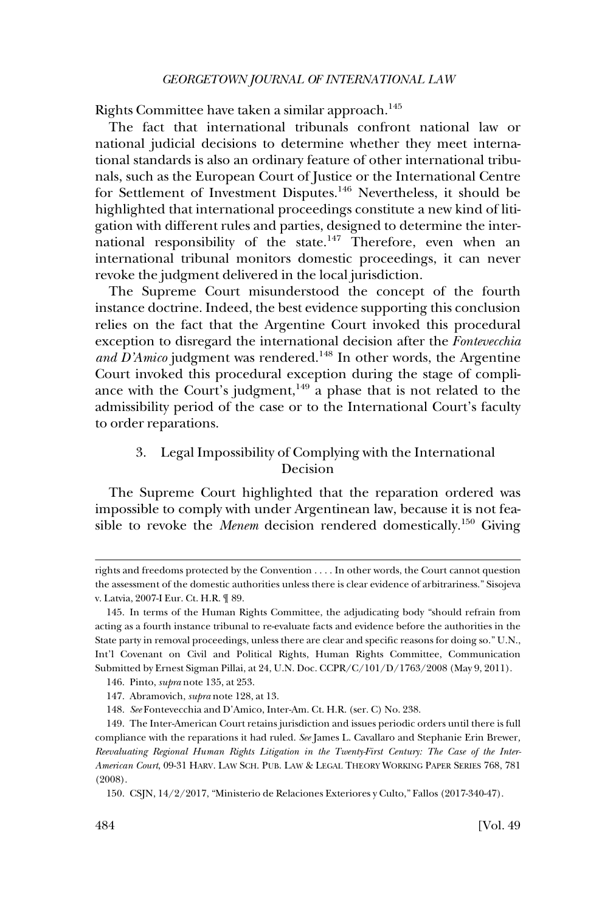<span id="page-23-0"></span>Rights Committee have taken a similar approach.<sup>145</sup>

The fact that international tribunals confront national law or national judicial decisions to determine whether they meet international standards is also an ordinary feature of other international tribunals, such as the European Court of Justice or the International Centre for Settlement of Investment Disputes.146 Nevertheless, it should be highlighted that international proceedings constitute a new kind of litigation with different rules and parties, designed to determine the international responsibility of the state.<sup>147</sup> Therefore, even when an international tribunal monitors domestic proceedings, it can never revoke the judgment delivered in the local jurisdiction.

The Supreme Court misunderstood the concept of the fourth instance doctrine. Indeed, the best evidence supporting this conclusion relies on the fact that the Argentine Court invoked this procedural exception to disregard the international decision after the *Fontevecchia*  and D'Amico judgment was rendered.<sup>148</sup> In other words, the Argentine Court invoked this procedural exception during the stage of compliance with the Court's judgment, $149$  a phase that is not related to the admissibility period of the case or to the International Court's faculty to order reparations.

## 3. Legal Impossibility of Complying with the International Decision

The Supreme Court highlighted that the reparation ordered was impossible to comply with under Argentinean law, because it is not feasible to revoke the *Menem* decision rendered domestically.150 Giving

rights and freedoms protected by the Convention . . . . In other words, the Court cannot question the assessment of the domestic authorities unless there is clear evidence of arbitrariness." Sisojeva v. Latvia, 2007-I Eur. Ct. H.R. ¶ 89.

<sup>145.</sup> In terms of the Human Rights Committee, the adjudicating body "should refrain from acting as a fourth instance tribunal to re-evaluate facts and evidence before the authorities in the State party in removal proceedings, unless there are clear and specific reasons for doing so." U.N., Int'l Covenant on Civil and Political Rights, Human Rights Committee, Communication Submitted by Ernest Sigman Pillai, at 24, U.N. Doc. CCPR/C/101/D/1763/2008 (May 9, 2011).

<sup>146.</sup> Pinto, *supra* note 135, at 253.

<sup>147.</sup> Abramovich, *supra* note 128, at 13.

<sup>148.</sup> *See* Fontevecchia and D'Amico, Inter-Am. Ct. H.R. (ser. C) No. 238.

<sup>149.</sup> The Inter-American Court retains jurisdiction and issues periodic orders until there is full compliance with the reparations it had ruled. *See* James L. Cavallaro and Stephanie Erin Brewer*, Reevaluating Regional Human Rights Litigation in the Twenty-First Century: The Case of the Inter-American Court*, 09-31 HARV. LAW SCH. PUB. LAW & LEGAL THEORY WORKING PAPER SERIES 768, 781 (2008).

<sup>150.</sup> CSJN, 14/2/2017, "Ministerio de Relaciones Exteriores y Culto," Fallos (2017-340-47).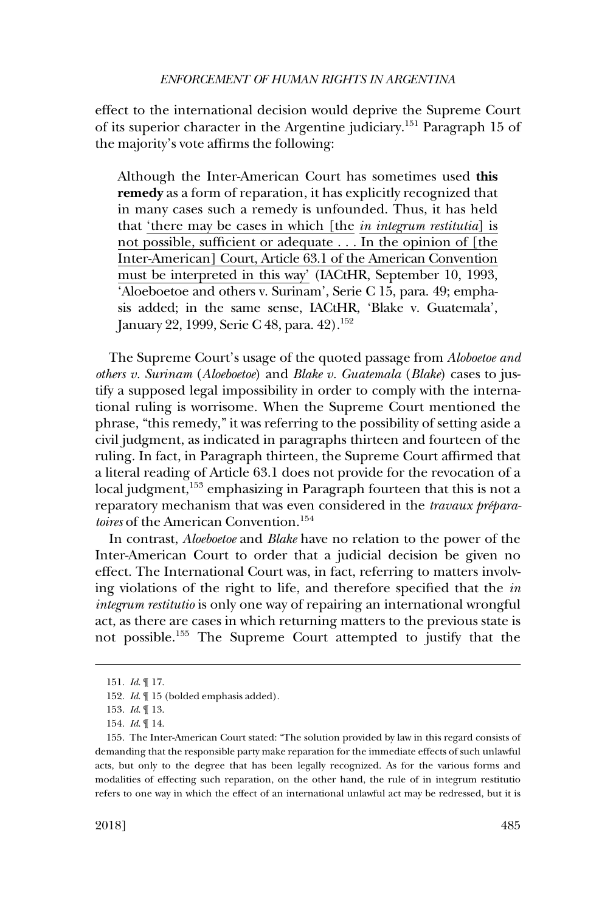effect to the international decision would deprive the Supreme Court of its superior character in the Argentine judiciary.151 Paragraph 15 of the majority's vote affirms the following:

Although the Inter-American Court has sometimes used **this remedy** as a form of reparation, it has explicitly recognized that in many cases such a remedy is unfounded. Thus, it has held that 'there may be cases in which [the *in integrum restitutia*] is not possible, sufficient or adequate . . . In the opinion of [the Inter-American] Court, Article 63.1 of the American Convention must be interpreted in this way' (IACtHR, September 10, 1993, 'Aloeboetoe and others v. Surinam', Serie C 15, para. 49; emphasis added; in the same sense, IACtHR, 'Blake v. Guatemala', January 22, 1999, Serie C 48, para. 42).<sup>152</sup>

The Supreme Court's usage of the quoted passage from *Aloboetoe and others v. Surinam* (*Aloeboetoe*) and *Blake v. Guatemala* (*Blake*) cases to justify a supposed legal impossibility in order to comply with the international ruling is worrisome. When the Supreme Court mentioned the phrase, "this remedy," it was referring to the possibility of setting aside a civil judgment, as indicated in paragraphs thirteen and fourteen of the ruling. In fact, in Paragraph thirteen, the Supreme Court affirmed that a literal reading of Article 63.1 does not provide for the revocation of a local judgment,<sup>153</sup> emphasizing in Paragraph fourteen that this is not a reparatory mechanism that was even considered in the *travaux préparatoires* of the American Convention.<sup>154</sup>

In contrast, *Aloeboetoe* and *Blake* have no relation to the power of the Inter-American Court to order that a judicial decision be given no effect. The International Court was, in fact, referring to matters involving violations of the right to life, and therefore specified that the *in integrum restitutio* is only one way of repairing an international wrongful act, as there are cases in which returning matters to the previous state is not possible.155 The Supreme Court attempted to justify that the

<sup>151.</sup> *Id*. ¶ 17.

<sup>152.</sup> *Id*. ¶ 15 (bolded emphasis added).

<sup>153.</sup> *Id*. ¶ 13.

<sup>154.</sup> *Id*. ¶ 14.

<sup>155.</sup> The Inter-American Court stated: "The solution provided by law in this regard consists of demanding that the responsible party make reparation for the immediate effects of such unlawful acts, but only to the degree that has been legally recognized. As for the various forms and modalities of effecting such reparation, on the other hand, the rule of in integrum restitutio refers to one way in which the effect of an international unlawful act may be redressed, but it is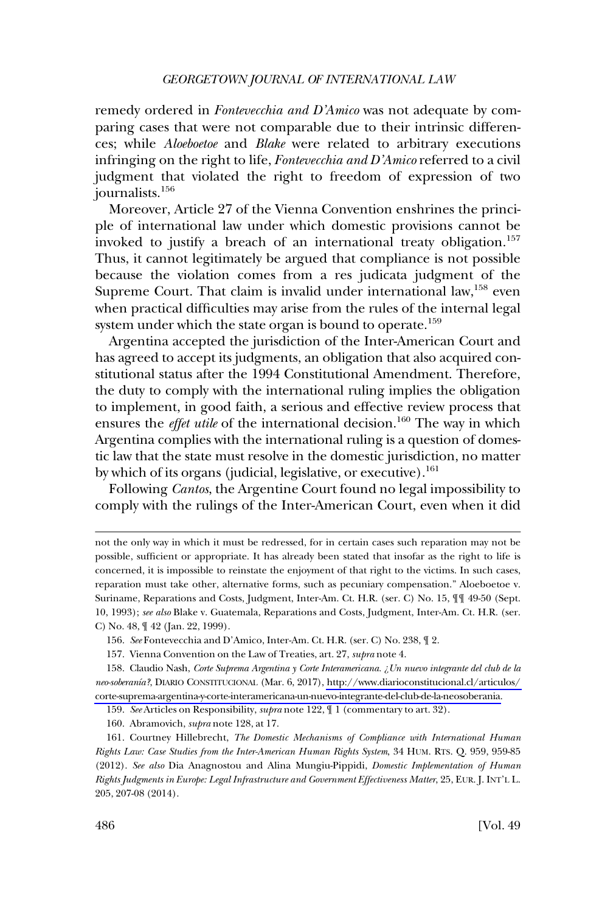remedy ordered in *Fontevecchia and D'Amico* was not adequate by comparing cases that were not comparable due to their intrinsic differences; while *Aloeboetoe* and *Blake* were related to arbitrary executions infringing on the right to life, *Fontevecchia and D'Amico* referred to a civil judgment that violated the right to freedom of expression of two journalists.156

Moreover, Article 27 of the Vienna Convention enshrines the principle of international law under which domestic provisions cannot be invoked to justify a breach of an international treaty obligation.<sup>157</sup> Thus, it cannot legitimately be argued that compliance is not possible because the violation comes from a res judicata judgment of the Supreme Court. That claim is invalid under international law,<sup>158</sup> even when practical difficulties may arise from the rules of the internal legal system under which the state organ is bound to operate.<sup>159</sup>

Argentina accepted the jurisdiction of the Inter-American Court and has agreed to accept its judgments, an obligation that also acquired constitutional status after the 1994 Constitutional Amendment. Therefore, the duty to comply with the international ruling implies the obligation to implement, in good faith, a serious and effective review process that ensures the *effet utile* of the international decision.<sup>160</sup> The way in which Argentina complies with the international ruling is a question of domestic law that the state must resolve in the domestic jurisdiction, no matter by which of its organs (judicial, legislative, or executive).<sup>161</sup>

Following *Cantos*, the Argentine Court found no legal impossibility to comply with the rulings of the Inter-American Court, even when it did

not the only way in which it must be redressed, for in certain cases such reparation may not be possible, sufficient or appropriate. It has already been stated that insofar as the right to life is concerned, it is impossible to reinstate the enjoyment of that right to the victims. In such cases, reparation must take other, alternative forms, such as pecuniary compensation." Aloeboetoe v. Suriname, Reparations and Costs, Judgment, Inter-Am. Ct. H.R. (ser. C) No. 15, ¶¶ 49-50 (Sept. 10, 1993); *see also* Blake v. Guatemala, Reparations and Costs, Judgment, Inter-Am. Ct. H.R. (ser. C) No. 48, ¶ 42 (Jan. 22, 1999).

<sup>156.</sup> *See* Fontevecchia and D'Amico, Inter-Am. Ct. H.R. (ser. C) No. 238, ¶ 2.

<sup>157.</sup> Vienna Convention on the Law of Treaties, art. 27, *supra* note 4.

<sup>158.</sup> Claudio Nash, *Corte Suprema Argentina y Corte Interamericana. ¿Un nuevo integrante del club de la neo-soberan´ıa?*, DIARIO CONSTITUCIONAL (Mar. 6, 2017), [http://www.diarioconstitucional.cl/articulos/](http://www.diarioconstitucional.cl/articulos/corte-suprema-argentina-y-corte-interamericana-un-nuevo-integrante-del-club-de-la-neosoberania)  [corte-suprema-argentina-y-corte-interamericana-un-nuevo-integrante-del-club-de-la-neosoberania.](http://www.diarioconstitucional.cl/articulos/corte-suprema-argentina-y-corte-interamericana-un-nuevo-integrante-del-club-de-la-neosoberania)

<sup>159.</sup> *See* Articles on Responsibility, *supra* note 122, ¶ 1 (commentary to art. 32).

<sup>160.</sup> Abramovich, *supra* note 128, at 17.

<sup>161.</sup> Courtney Hillebrecht, *The Domestic Mechanisms of Compliance with International Human Rights Law: Case Studies from the Inter-American Human Rights System*, 34 HUM. RTS. Q. 959, 959-85 (2012). *See also* Dia Anagnostou and Alina Mungiu-Pippidi, *Domestic Implementation of Human Rights Judgments in Europe: Legal Infrastructure and Government Effectiveness Matter*, 25, EUR. J. INT'L L. 205, 207-08 (2014).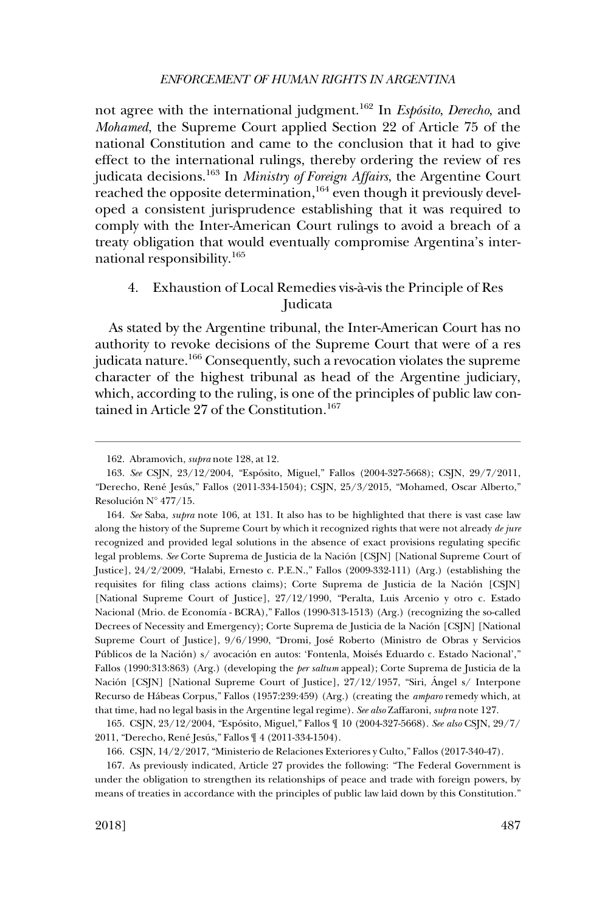<span id="page-26-0"></span>not agree with the international judgment.<sup>162</sup> In *Espósito*, *Derecho*, and *Mohamed*, the Supreme Court applied Section 22 of Article 75 of the national Constitution and came to the conclusion that it had to give effect to the international rulings, thereby ordering the review of res judicata decisions.163 In *Ministry of Foreign Affairs*, the Argentine Court reached the opposite determination, 164 even though it previously developed a consistent jurisprudence establishing that it was required to comply with the Inter-American Court rulings to avoid a breach of a treaty obligation that would eventually compromise Argentina's international responsibility.<sup>165</sup>

## 4. Exhaustion of Local Remedies vis-a`-vis the Principle of Res Judicata

As stated by the Argentine tribunal, the Inter-American Court has no authority to revoke decisions of the Supreme Court that were of a res judicata nature.<sup>166</sup> Consequently, such a revocation violates the supreme character of the highest tribunal as head of the Argentine judiciary, which, according to the ruling, is one of the principles of public law contained in Article 27 of the Constitution.<sup>167</sup>

<sup>162.</sup> Abramovich, *supra* note 128, at 12.

<sup>163.</sup> *See* CSJN, 23/12/2004, "Espo´sito, Miguel," Fallos (2004-327-5668); CSJN, 29/7/2011, "Derecho, René Jesús," Fallos (2011-334-1504); CSJN, 25/3/2015, "Mohamed, Oscar Alberto," Resolución  $N^{\circ}$  477/15.

*See* Saba, *supra* note 106, at 131. It also has to be highlighted that there is vast case law 164. along the history of the Supreme Court by which it recognized rights that were not already *de jure*  recognized and provided legal solutions in the absence of exact provisions regulating specific legal problems. See Corte Suprema de Justicia de la Nación [CSJN] [National Supreme Court of Justice], 24/2/2009, "Halabi, Ernesto c. P.E.N.," Fallos (2009-332-111) (Arg.) (establishing the requisites for filing class actions claims); Corte Suprema de Justicia de la Nación [CSJN] [National Supreme Court of Justice], 27/12/1990, "Peralta, Luis Arcenio y otro c. Estado Nacional (Mrio. de Economía - BCRA)," Fallos (1990-313-1513) (Arg.) (recognizing the so-called Decrees of Necessity and Emergency); Corte Suprema de Justicia de la Nación [CSJN] [National Supreme Court of Justice], 9/6/1990, "Dromi, Jose´ Roberto (Ministro de Obras y Servicios Públicos de la Nación) s/ avocación en autos: 'Fontenla, Moisés Eduardo c. Estado Nacional'," Fallos (1990:313:863) (Arg.) (developing the *per saltum* appeal); Corte Suprema de Justicia de la Nación [CSJN] [National Supreme Court of Justice], 27/12/1957, "Siri, Ángel s/ Interpone Recurso de Ha´beas Corpus," Fallos (1957:239:459) (Arg.) (creating the *amparo* remedy which, at that time, had no legal basis in the Argentine legal regime). *See also* Zaffaroni, *supra* note 127.

<sup>165.</sup> CSJN, 23/12/2004, "Espo´sito, Miguel," Fallos ¶ 10 (2004-327-5668). *See also* CSJN, 29/7/ 2011, "Derecho, René Jesús," Fallos ¶ 4 (2011-334-1504).

<sup>166.</sup> CSJN, 14/2/2017, "Ministerio de Relaciones Exteriores y Culto," Fallos (2017-340-47).

<sup>167.</sup> As previously indicated, Article 27 provides the following: "The Federal Government is under the obligation to strengthen its relationships of peace and trade with foreign powers, by means of treaties in accordance with the principles of public law laid down by this Constitution."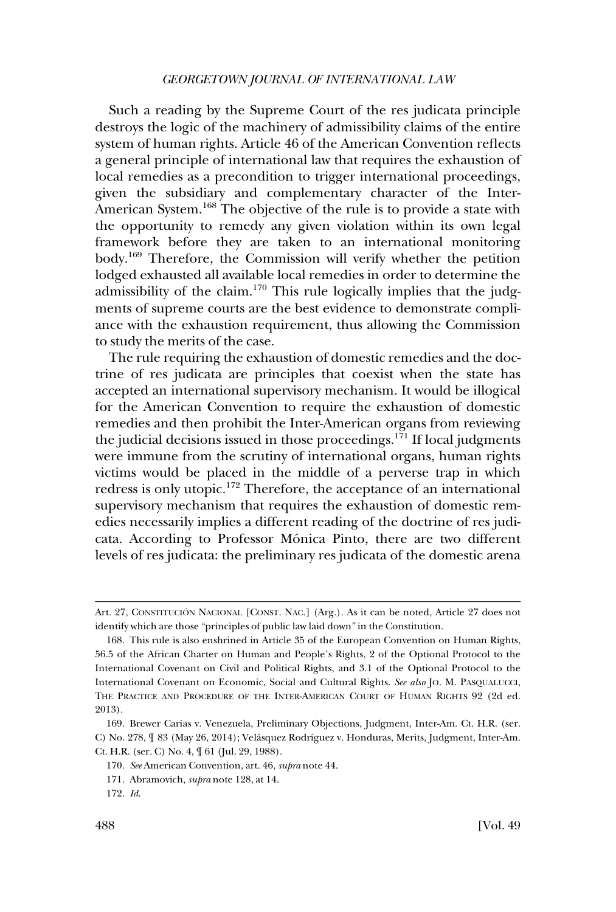Such a reading by the Supreme Court of the res judicata principle destroys the logic of the machinery of admissibility claims of the entire system of human rights. Article 46 of the American Convention reflects a general principle of international law that requires the exhaustion of local remedies as a precondition to trigger international proceedings, given the subsidiary and complementary character of the Inter-American System.<sup>168</sup> The objective of the rule is to provide a state with the opportunity to remedy any given violation within its own legal framework before they are taken to an international monitoring body.169 Therefore, the Commission will verify whether the petition lodged exhausted all available local remedies in order to determine the admissibility of the claim.<sup>170</sup> This rule logically implies that the judgments of supreme courts are the best evidence to demonstrate compliance with the exhaustion requirement, thus allowing the Commission to study the merits of the case.

The rule requiring the exhaustion of domestic remedies and the doctrine of res judicata are principles that coexist when the state has accepted an international supervisory mechanism. It would be illogical for the American Convention to require the exhaustion of domestic remedies and then prohibit the Inter-American organs from reviewing the judicial decisions issued in those proceedings.<sup>171</sup> If local judgments were immune from the scrutiny of international organs, human rights victims would be placed in the middle of a perverse trap in which redress is only utopic.172 Therefore, the acceptance of an international supervisory mechanism that requires the exhaustion of domestic remedies necessarily implies a different reading of the doctrine of res judicata. According to Professor Mónica Pinto, there are two different levels of res judicata: the preliminary res judicata of the domestic arena

Art. 27, CONSTITUCIÓN NACIONAL [CONST. NAC.] (Arg.). As it can be noted, Article 27 does not identify which are those "principles of public law laid down" in the Constitution.

<sup>168.</sup> This rule is also enshrined in Article 35 of the European Convention on Human Rights, 56.5 of the African Charter on Human and People's Rights, 2 of the Optional Protocol to the International Covenant on Civil and Political Rights, and 3.1 of the Optional Protocol to the International Covenant on Economic, Social and Cultural Rights. *See also* JO. M. PASQUALUCCI, THE PRACTICE AND PROCEDURE OF THE INTER-AMERICAN COURT OF HUMAN RIGHTS 92 (2d ed. 2013).

<sup>169.</sup> Brewer Carías v. Venezuela, Preliminary Objections, Judgment, Inter-Am. Ct. H.R. (ser. C) No. 278,  $\sqrt{ }$  83 (May 26, 2014); Velásquez Rodríguez v. Honduras, Merits, Judgment, Inter-Am. Ct. H.R. (ser. C) No. 4, ¶ 61 (Jul. 29, 1988).

<sup>170.</sup> *See* American Convention, art. 46, *supra* note 44.

<sup>171.</sup> Abramovich, *supra* note 128, at 14.

<sup>172.</sup> *Id*.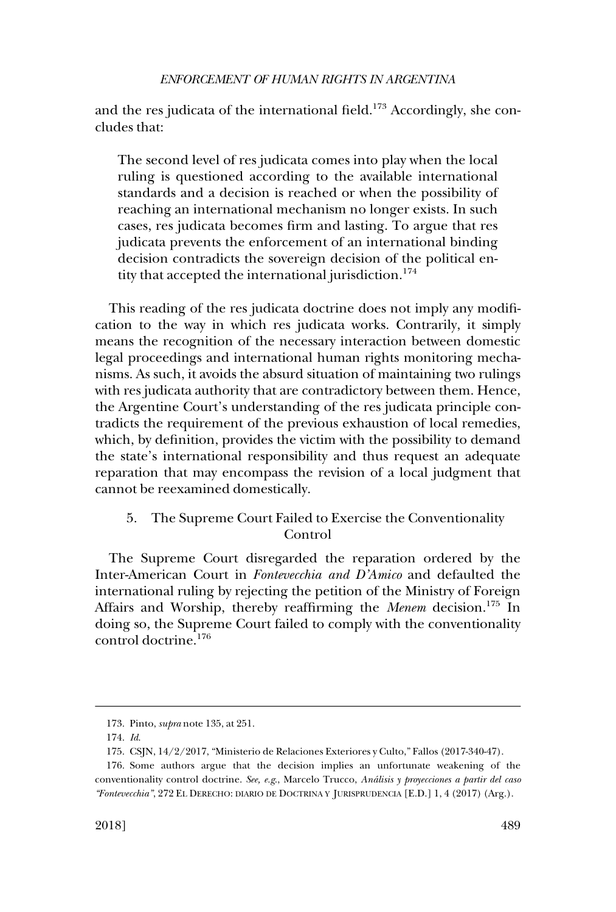<span id="page-28-0"></span>and the res judicata of the international field.<sup>173</sup> Accordingly, she concludes that:

The second level of res judicata comes into play when the local ruling is questioned according to the available international standards and a decision is reached or when the possibility of reaching an international mechanism no longer exists. In such cases, res judicata becomes firm and lasting. To argue that res judicata prevents the enforcement of an international binding decision contradicts the sovereign decision of the political entity that accepted the international jurisdiction.<sup>174</sup>

This reading of the res judicata doctrine does not imply any modification to the way in which res judicata works. Contrarily, it simply means the recognition of the necessary interaction between domestic legal proceedings and international human rights monitoring mechanisms. As such, it avoids the absurd situation of maintaining two rulings with res judicata authority that are contradictory between them. Hence, the Argentine Court's understanding of the res judicata principle contradicts the requirement of the previous exhaustion of local remedies, which, by definition, provides the victim with the possibility to demand the state's international responsibility and thus request an adequate reparation that may encompass the revision of a local judgment that cannot be reexamined domestically.

# 5. The Supreme Court Failed to Exercise the Conventionality Control

The Supreme Court disregarded the reparation ordered by the Inter-American Court in *Fontevecchia and D'Amico* and defaulted the international ruling by rejecting the petition of the Ministry of Foreign Affairs and Worship, thereby reaffirming the *Menem* decision.<sup>175</sup> In doing so, the Supreme Court failed to comply with the conventionality control doctrine.176

<sup>173.</sup> Pinto, *supra* note 135, at 251.

<sup>174.</sup> *Id*.

CSJN, 14/2/2017, "Ministerio de Relaciones Exteriores y Culto," Fallos (2017-340-47). 175.

<sup>176.</sup> Some authors argue that the decision implies an unfortunate weakening of the conventionality control doctrine. *See, e.g*., Marcelo Trucco, *Ana´lisis y proyecciones a partir del caso "Fontevecchia"*, 272 EL DERECHO: DIARIO DE DOCTRINA Y JURISPRUDENCIA [E.D.] 1, 4 (2017) (Arg.).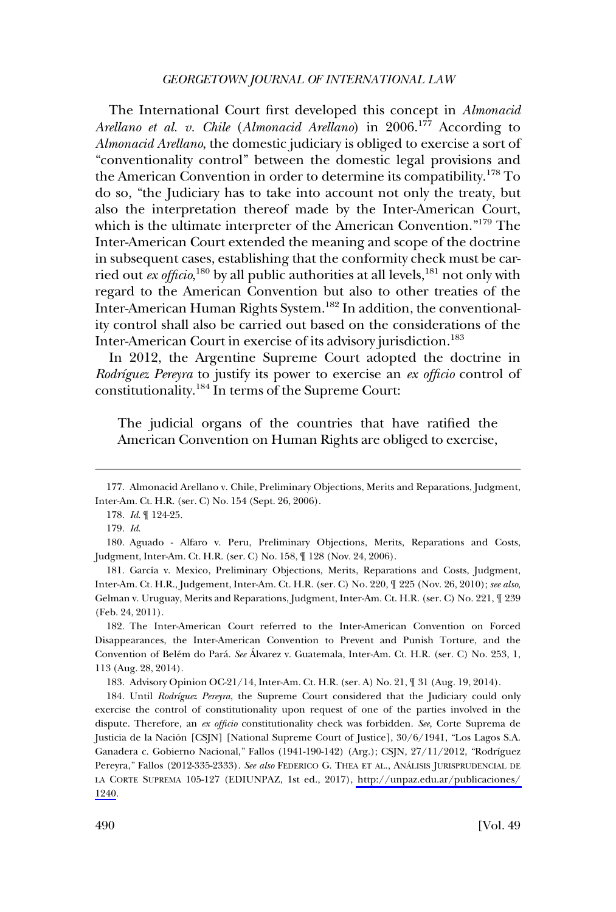The International Court first developed this concept in *Almonacid Arellano et al. v. Chile (Almonacid Arellano)* in 2006.<sup>177</sup> According to *Almonacid Arellano*, the domestic judiciary is obliged to exercise a sort of "conventionality control" between the domestic legal provisions and the American Convention in order to determine its compatibility.178 To do so, "the Judiciary has to take into account not only the treaty, but also the interpretation thereof made by the Inter-American Court, which is the ultimate interpreter of the American Convention."<sup>179</sup> The Inter-American Court extended the meaning and scope of the doctrine in subsequent cases, establishing that the conformity check must be carried out *ex officio*,<sup>180</sup> by all public authorities at all levels,<sup>181</sup> not only with regard to the American Convention but also to other treaties of the Inter-American Human Rights System.<sup>182</sup> In addition, the conventionality control shall also be carried out based on the considerations of the Inter-American Court in exercise of its advisory jurisdiction.183

In 2012, the Argentine Supreme Court adopted the doctrine in *Rodrı´guez Pereyra* to justify its power to exercise an *ex officio* control of constitutionality.<sup>184</sup> In terms of the Supreme Court:

The judicial organs of the countries that have ratified the American Convention on Human Rights are obliged to exercise,

182. The Inter-American Court referred to the Inter-American Convention on Forced Disappearances, the Inter-American Convention to Prevent and Punish Torture, and the Convention of Belém do Pará. *See* Álvarez v. Guatemala, Inter-Am. Ct. H.R. (ser. C) No. 253, 1, 113 (Aug. 28, 2014).

183. Advisory Opinion OC-21/14, Inter-Am. Ct. H.R. (ser. A) No. 21, ¶ 31 (Aug. 19, 2014).

184. Until *Rodríguez Pereyra*, the Supreme Court considered that the Judiciary could only exercise the control of constitutionality upon request of one of the parties involved in the dispute. Therefore, an *ex officio* constitutionality check was forbidden. *See*, Corte Suprema de Justicia de la Nación [CSJN] [National Supreme Court of Justice], 30/6/1941, "Los Lagos S.A. Ganadera c. Gobierno Nacional," Fallos (1941-190-142) (Arg.); CSJN, 27/11/2012, "Rodríguez Pereyra," Fallos (2012-335-2333). See also FEDERICO G. THEA ET AL., ANÁLISIS JURISPRUDENCIAL DE LA CORTE SUPREMA 105-127 (EDIUNPAZ, 1st ed., 2017), [http://unpaz.edu.ar/publicaciones/](http://unpaz.edu.ar/publicaciones/1240)  [1240.](http://unpaz.edu.ar/publicaciones/1240)

<sup>177.</sup> Almonacid Arellano v. Chile, Preliminary Objections, Merits and Reparations, Judgment, Inter-Am. Ct. H.R. (ser. C) No. 154 (Sept. 26, 2006).

<sup>178.</sup> *Id*. ¶ 124-25.

<sup>179.</sup> *Id*.

<sup>180.</sup> Aguado - Alfaro v. Peru, Preliminary Objections, Merits, Reparations and Costs, Judgment, Inter-Am. Ct. H.R. (ser. C) No. 158, ¶ 128 (Nov. 24, 2006).

<sup>181.</sup> García v. Mexico, Preliminary Objections, Merits, Reparations and Costs, Judgment, Inter-Am. Ct. H.R., Judgement, Inter-Am. Ct. H.R. (ser. C) No. 220, ¶ 225 (Nov. 26, 2010); *see also*, Gelman v. Uruguay, Merits and Reparations, Judgment, Inter-Am. Ct. H.R. (ser. C) No. 221, ¶ 239 (Feb. 24, 2011).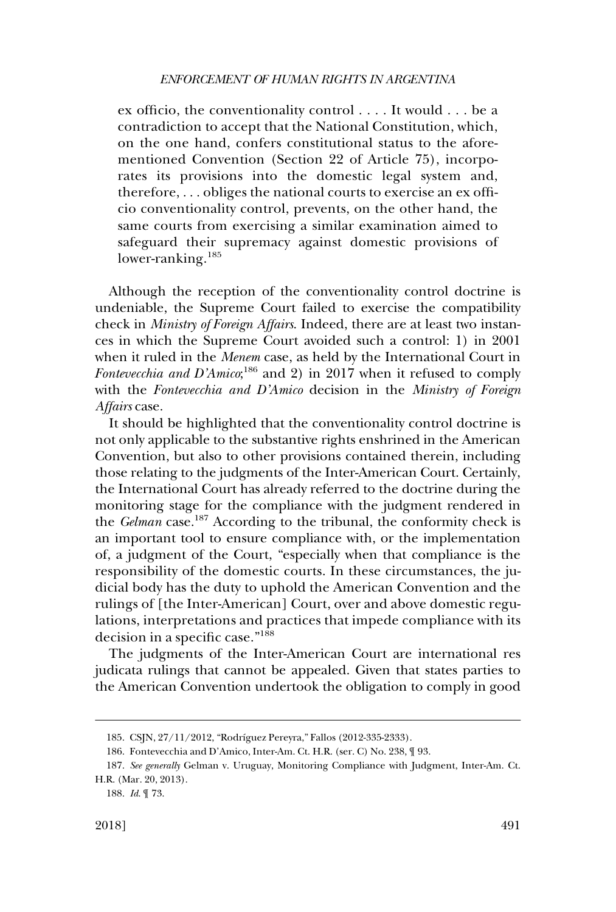ex officio, the conventionality control . . . . It would . . . be a contradiction to accept that the National Constitution, which, on the one hand, confers constitutional status to the aforementioned Convention (Section 22 of Article 75), incorporates its provisions into the domestic legal system and, therefore, . . . obliges the national courts to exercise an ex officio conventionality control, prevents, on the other hand, the same courts from exercising a similar examination aimed to safeguard their supremacy against domestic provisions of lower-ranking.<sup>185</sup>

Although the reception of the conventionality control doctrine is undeniable, the Supreme Court failed to exercise the compatibility check in *Ministry of Foreign Affairs*. Indeed, there are at least two instances in which the Supreme Court avoided such a control: 1) in 2001 when it ruled in the *Menem* case, as held by the International Court in Fontevecchia and D'Amico;<sup>186</sup> and 2) in 2017 when it refused to comply with the *Fontevecchia and D'Amico* decision in the *Ministry of Foreign Affairs* case.

It should be highlighted that the conventionality control doctrine is not only applicable to the substantive rights enshrined in the American Convention, but also to other provisions contained therein, including those relating to the judgments of the Inter-American Court. Certainly, the International Court has already referred to the doctrine during the monitoring stage for the compliance with the judgment rendered in the *Gelman* case.187 According to the tribunal, the conformity check is an important tool to ensure compliance with, or the implementation of, a judgment of the Court, "especially when that compliance is the responsibility of the domestic courts. In these circumstances, the judicial body has the duty to uphold the American Convention and the rulings of [the Inter-American] Court, over and above domestic regulations, interpretations and practices that impede compliance with its decision in a specific case."<sup>188</sup>

The judgments of the Inter-American Court are international res judicata rulings that cannot be appealed. Given that states parties to the American Convention undertook the obligation to comply in good

<sup>185.</sup> CSJN, 27/11/2012, "Rodríguez Pereyra," Fallos (2012-335-2333).

<sup>186.</sup> Fontevecchia and D'Amico, Inter-Am. Ct. H.R. (ser. C) No. 238, ¶ 93.

<sup>187.</sup> *See generally* Gelman v. Uruguay, Monitoring Compliance with Judgment, Inter-Am. Ct. H.R. (Mar. 20, 2013).

<sup>188.</sup> *Id*. ¶ 73.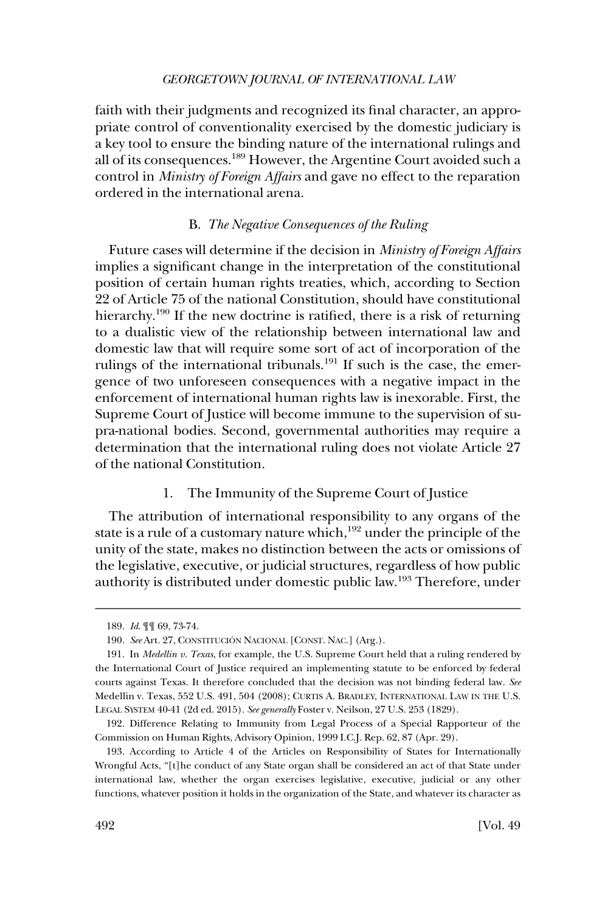<span id="page-31-0"></span>faith with their judgments and recognized its final character, an appropriate control of conventionality exercised by the domestic judiciary is a key tool to ensure the binding nature of the international rulings and all of its consequences.189 However, the Argentine Court avoided such a control in *Ministry of Foreign Affairs* and gave no effect to the reparation ordered in the international arena.

### B. *The Negative Consequences of the Ruling*

Future cases will determine if the decision in *Ministry of Foreign Affairs*  implies a significant change in the interpretation of the constitutional position of certain human rights treaties, which, according to Section 22 of Article 75 of the national Constitution, should have constitutional hierarchy.<sup>190</sup> If the new doctrine is ratified, there is a risk of returning to a dualistic view of the relationship between international law and domestic law that will require some sort of act of incorporation of the rulings of the international tribunals.<sup>191</sup> If such is the case, the emergence of two unforeseen consequences with a negative impact in the enforcement of international human rights law is inexorable. First, the Supreme Court of Justice will become immune to the supervision of supra-national bodies. Second, governmental authorities may require a determination that the international ruling does not violate Article 27 of the national Constitution.

## 1. The Immunity of the Supreme Court of Justice

The attribution of international responsibility to any organs of the state is a rule of a customary nature which,<sup>192</sup> under the principle of the unity of the state, makes no distinction between the acts or omissions of the legislative, executive, or judicial structures, regardless of how public authority is distributed under domestic public law.193 Therefore, under

<sup>189.</sup> *Id*. ¶¶ 69, 73-74.

<sup>190.</sup> *See* Art. 27, CONSTITUCIÓN NACIONAL [CONST. NAC.] (Arg.).

<sup>191.</sup> In *Medellin v. Texas*, for example, the U.S. Supreme Court held that a ruling rendered by the International Court of Justice required an implementing statute to be enforced by federal courts against Texas. It therefore concluded that the decision was not binding federal law. *See*  Medellin v. Texas, 552 U.S. 491, 504 (2008); CURTIS A. BRADLEY, INTERNATIONAL LAW IN THE U.S. LEGAL SYSTEM 40-41 (2d ed. 2015). *See generally* Foster v. Neilson, 27 U.S. 253 (1829).

<sup>192.</sup> Difference Relating to Immunity from Legal Process of a Special Rapporteur of the Commission on Human Rights, Advisory Opinion, 1999 I.C.J. Rep. 62, 87 (Apr. 29).

<sup>193.</sup> According to Article 4 of the Articles on Responsibility of States for Internationally Wrongful Acts, "[t]he conduct of any State organ shall be considered an act of that State under international law, whether the organ exercises legislative, executive, judicial or any other functions, whatever position it holds in the organization of the State, and whatever its character as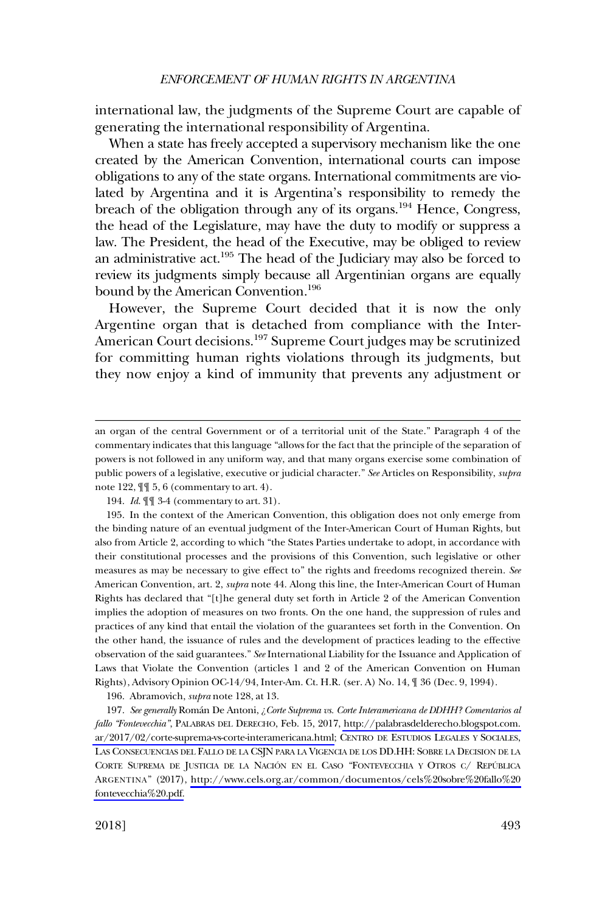international law, the judgments of the Supreme Court are capable of generating the international responsibility of Argentina.

When a state has freely accepted a supervisory mechanism like the one created by the American Convention, international courts can impose obligations to any of the state organs. International commitments are violated by Argentina and it is Argentina's responsibility to remedy the breach of the obligation through any of its organs.<sup>194</sup> Hence, Congress, the head of the Legislature, may have the duty to modify or suppress a law. The President, the head of the Executive, may be obliged to review an administrative act.195 The head of the Judiciary may also be forced to review its judgments simply because all Argentinian organs are equally bound by the American Convention.<sup>196</sup>

However, the Supreme Court decided that it is now the only Argentine organ that is detached from compliance with the Inter-American Court decisions.<sup>197</sup> Supreme Court judges may be scrutinized for committing human rights violations through its judgments, but they now enjoy a kind of immunity that prevents any adjustment or

196. Abramovich, *supra* note 128, at 13.

an organ of the central Government or of a territorial unit of the State." Paragraph 4 of the commentary indicates that this language "allows for the fact that the principle of the separation of powers is not followed in any uniform way, and that many organs exercise some combination of public powers of a legislative, executive or judicial character." *See* Articles on Responsibility, *supra*  note 122, ¶¶ 5, 6 (commentary to art. 4).

<sup>194.</sup> *Id*. ¶¶ 3-4 (commentary to art. 31).

<sup>195.</sup> In the context of the American Convention, this obligation does not only emerge from the binding nature of an eventual judgment of the Inter-American Court of Human Rights, but also from Article 2, according to which "the States Parties undertake to adopt, in accordance with their constitutional processes and the provisions of this Convention, such legislative or other measures as may be necessary to give effect to" the rights and freedoms recognized therein. *See*  American Convention, art. 2, *supra* note 44. Along this line, the Inter-American Court of Human Rights has declared that "[t]he general duty set forth in Article 2 of the American Convention implies the adoption of measures on two fronts. On the one hand, the suppression of rules and practices of any kind that entail the violation of the guarantees set forth in the Convention. On the other hand, the issuance of rules and the development of practices leading to the effective observation of the said guarantees." *See* International Liability for the Issuance and Application of Laws that Violate the Convention (articles 1 and 2 of the American Convention on Human Rights), Advisory Opinion OC-14/94, Inter-Am. Ct. H.R. (ser. A) No. 14, ¶ 36 (Dec. 9, 1994).

<sup>197.</sup> *See generally* Román De Antoni, *¿Corte Suprema vs. Corte Interamericana de DDHH? Comentarios al fallo "Fontevecchia"*, PALABRAS DEL DERECHO, Feb. 15, 2017, [http://palabrasdelderecho.blogspot.com.](http://palabrasdelderecho.blogspot.com.ar/2017/02/corte-suprema-vs-corte-interamericana.html)  [ar/2017/02/corte-suprema-vs-corte-interamericana.html;](http://palabrasdelderecho.blogspot.com.ar/2017/02/corte-suprema-vs-corte-interamericana.html) CENTRO DE ESTUDIOS LEGALES Y SOCIALES, LAS CONSECUENCIAS DEL FALLO DE LA CSJN PARA LA VIGENCIA DE LOS DD.HH: SOBRE LA DECISION DE LA CORTE SUPREMA DE JUSTICIA DE LA NACIÓN EN EL CASO "FONTEVECCHIA Y OTROS C/ REPÚBLICA ARGENTINA" (2017), [http://www.cels.org.ar/common/documentos/cels%20sobre%20fallo%20](http://www.cels.org.ar/common/documentos/cels%20sobre%20fallo%20fontevecchia%20.pdf)  [fontevecchia%20.pdf.](http://www.cels.org.ar/common/documentos/cels%20sobre%20fallo%20fontevecchia%20.pdf)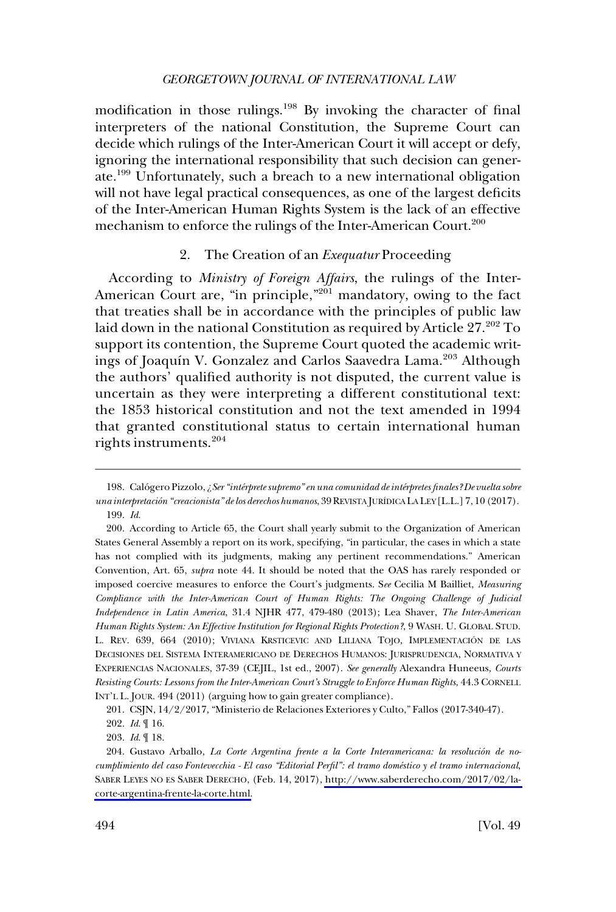<span id="page-33-0"></span>modification in those rulings.<sup>198</sup> By invoking the character of final interpreters of the national Constitution, the Supreme Court can decide which rulings of the Inter-American Court it will accept or defy, ignoring the international responsibility that such decision can generate.199 Unfortunately, such a breach to a new international obligation will not have legal practical consequences, as one of the largest deficits of the Inter-American Human Rights System is the lack of an effective mechanism to enforce the rulings of the Inter-American Court.<sup>200</sup>

#### 2. The Creation of an *Exequatur* Proceeding

According to *Ministry of Foreign Affairs*, the rulings of the Inter-American Court are, "in principle,"<sup>201</sup> mandatory, owing to the fact that treaties shall be in accordance with the principles of public law laid down in the national Constitution as required by Article 27.<sup>202</sup> To support its contention, the Supreme Court quoted the academic writings of Joaquín V. Gonzalez and Carlos Saavedra Lama.<sup>203</sup> Although the authors' qualified authority is not disputed, the current value is uncertain as they were interpreting a different constitutional text: the 1853 historical constitution and not the text amended in 1994 that granted constitutional status to certain international human rights instruments.<sup>204</sup>

<sup>198.</sup> Calógero Pizzolo, ¿Ser "intérprete supremo" en una comunidad de intérpretes finales? De vuelta sobre *una interpretacio´n "creacionista" de los derechos humanos*, 39 REVISTA JURI´DICA LA LEY [L.L.] 7, 10 (2017). 199. *Id*.

<sup>200.</sup> According to Article 65, the Court shall yearly submit to the Organization of American States General Assembly a report on its work, specifying, "in particular, the cases in which a state has not complied with its judgments, making any pertinent recommendations." American Convention, Art. 65, *supra* note 44. It should be noted that the OAS has rarely responded or imposed coercive measures to enforce the Court's judgments. S*ee* Cecilia M Bailliet, *Measuring Compliance with the Inter-American Court of Human Rights: The Ongoing Challenge of Judicial Independence in Latin America*, 31.4 NJHR 477, 479-480 (2013); Lea Shaver, *The Inter-American Human Rights System: An Effective Institution for Regional Rights Protection?*, 9 WASH. U. GLOBAL STUD. L. REV. 639, 664 (2010); VIVIANA KRSTICEVIC AND LILIANA TOJO, IMPLEMENTACIÓN DE LAS DECISIONES DEL SISTEMA INTERAMERICANO DE DERECHOS HUMANOS: JURISPRUDENCIA, NORMATIVA Y EXPERIENCIAS NACIONALES, 37-39 (CEJIL, 1st ed., 2007). *See generally* Alexandra Huneeus, *Courts Resisting Courts: Lessons from the Inter-American Court's Struggle to Enforce Human Rights*, 44.3 CORNELL INT'L L. JOUR. 494 (2011) (arguing how to gain greater compliance).

CSJN, 14/2/2017, "Ministerio de Relaciones Exteriores y Culto," Fallos (2017-340-47). 201.

<sup>202.</sup> *Id*. ¶ 16.

<sup>203.</sup> *Id*. ¶ 18.

<sup>204.</sup> Gustavo Arballo, *La Corte Argentina frente a la Corte Interamericana: la resolución de nocumplimiento del caso Fontevecchia - El caso "Editorial Perfil": el tramo dome´stico y el tramo internacional*, SABER LEYES NO ES SABER DERECHO, (Feb. 14, 2017), [http://www.saberderecho.com/2017/02/la](http://www.saberderecho.com/2017/02/la-corte-argentina-frente-la-corte.html)[corte-argentina-frente-la-corte.html.](http://www.saberderecho.com/2017/02/la-corte-argentina-frente-la-corte.html)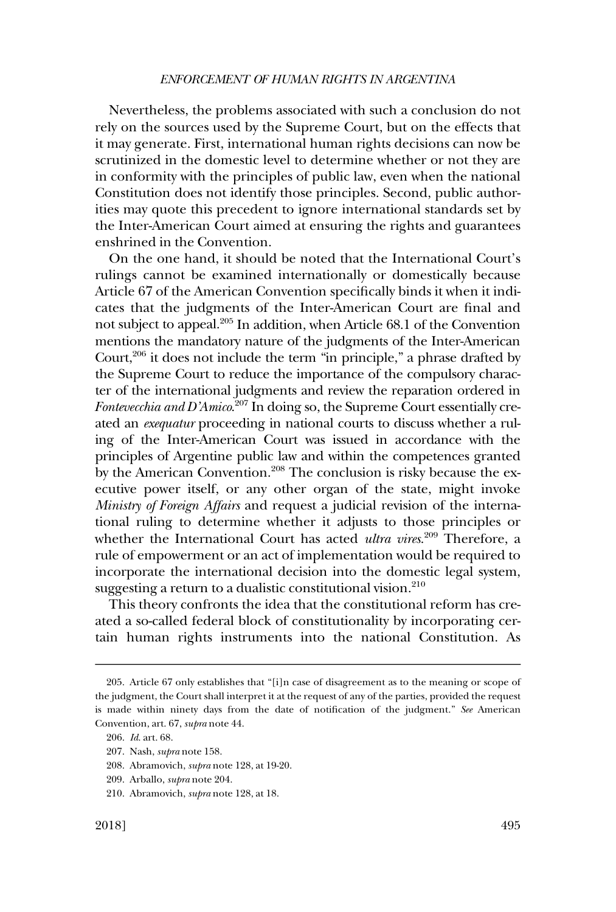Nevertheless, the problems associated with such a conclusion do not rely on the sources used by the Supreme Court, but on the effects that it may generate. First, international human rights decisions can now be scrutinized in the domestic level to determine whether or not they are in conformity with the principles of public law, even when the national Constitution does not identify those principles. Second, public authorities may quote this precedent to ignore international standards set by the Inter-American Court aimed at ensuring the rights and guarantees enshrined in the Convention.

On the one hand, it should be noted that the International Court's rulings cannot be examined internationally or domestically because Article 67 of the American Convention specifically binds it when it indicates that the judgments of the Inter-American Court are final and not subject to appeal.<sup>205</sup> In addition, when Article 68.1 of the Convention mentions the mandatory nature of the judgments of the Inter-American Court, $206$  it does not include the term "in principle," a phrase drafted by the Supreme Court to reduce the importance of the compulsory character of the international judgments and review the reparation ordered in *Fontevecchia and D'Amico*. 207 In doing so, the Supreme Court essentially created an *exequatur* proceeding in national courts to discuss whether a ruling of the Inter-American Court was issued in accordance with the principles of Argentine public law and within the competences granted by the American Convention.<sup>208</sup> The conclusion is risky because the executive power itself, or any other organ of the state, might invoke *Ministry of Foreign Affairs* and request a judicial revision of the international ruling to determine whether it adjusts to those principles or whether the International Court has acted *ultra vires*. 209 Therefore, a rule of empowerment or an act of implementation would be required to incorporate the international decision into the domestic legal system, suggesting a return to a dualistic constitutional vision.<sup>210</sup>

This theory confronts the idea that the constitutional reform has created a so-called federal block of constitutionality by incorporating certain human rights instruments into the national Constitution. As

<sup>205.</sup> Article 67 only establishes that "[i]n case of disagreement as to the meaning or scope of the judgment, the Court shall interpret it at the request of any of the parties, provided the request is made within ninety days from the date of notification of the judgment." *See* American Convention, art. 67, *supra* note 44.

<sup>206.</sup> *Id*. art. 68.

<sup>207.</sup> Nash, *supra* note 158.

<sup>208.</sup> Abramovich, *supra* note 128, at 19-20.

<sup>209.</sup> Arballo, *supra* note 204.

<sup>210.</sup> Abramovich, *supra* note 128, at 18.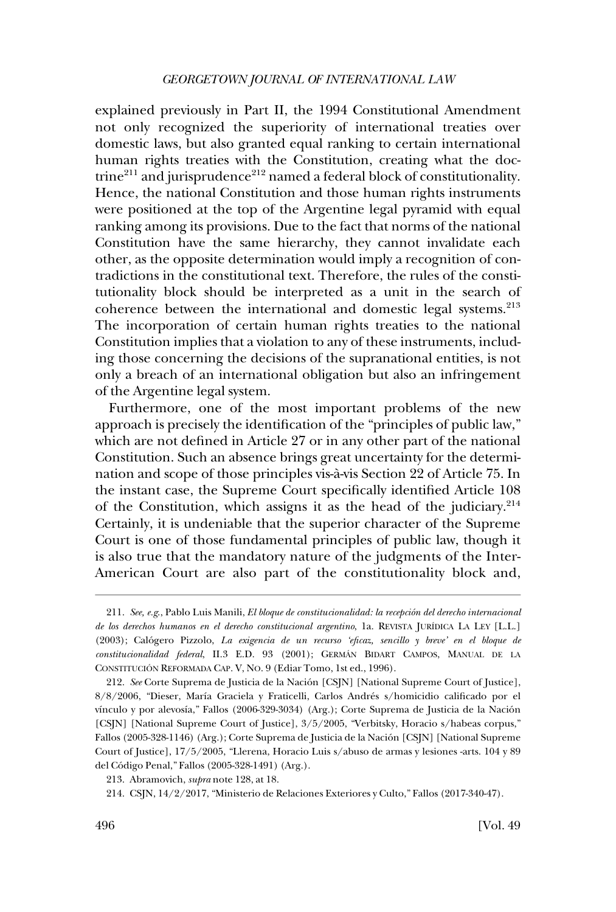explained previously in Part II, the 1994 Constitutional Amendment not only recognized the superiority of international treaties over domestic laws, but also granted equal ranking to certain international human rights treaties with the Constitution, creating what the doctrine $^{211}$  and jurisprudence $^{212}$  named a federal block of constitutionality. Hence, the national Constitution and those human rights instruments were positioned at the top of the Argentine legal pyramid with equal ranking among its provisions. Due to the fact that norms of the national Constitution have the same hierarchy, they cannot invalidate each other, as the opposite determination would imply a recognition of contradictions in the constitutional text. Therefore, the rules of the constitutionality block should be interpreted as a unit in the search of coherence between the international and domestic legal systems.<sup>213</sup> The incorporation of certain human rights treaties to the national Constitution implies that a violation to any of these instruments, including those concerning the decisions of the supranational entities, is not only a breach of an international obligation but also an infringement of the Argentine legal system.

Furthermore, one of the most important problems of the new approach is precisely the identification of the "principles of public law," which are not defined in Article 27 or in any other part of the national Constitution. Such an absence brings great uncertainty for the determination and scope of those principles vis-a`-vis Section 22 of Article 75. In the instant case, the Supreme Court specifically identified Article 108 of the Constitution, which assigns it as the head of the judiciary. $2^{14}$ Certainly, it is undeniable that the superior character of the Supreme Court is one of those fundamental principles of public law, though it is also true that the mandatory nature of the judgments of the Inter-American Court are also part of the constitutionality block and,

<sup>211.</sup> See, e.g., Pablo Luis Manili, *El bloque de constitucionalidad: la recepción del derecho internacional de los derechos humanos en el derecho constitucional argentino*, 1a. REVISTA JURI´DICA LA LEY [L.L.] (2003); Calo´gero Pizzolo, *La exigencia de un recurso 'eficaz, sencillo y breve' en el bloque de constitucionalidad federal*, II.3 E.D. 93 (2001); GERMA´N BIDART CAMPOS, MANUAL DE LA CONSTITUCIÓN REFORMADA CAP. V, NO. 9 (Ediar Tomo, 1st ed., 1996).

<sup>212.</sup> See Corte Suprema de Justicia de la Nación [CSJN] [National Supreme Court of Justice], 8/8/2006, "Dieser, María Graciela y Fraticelli, Carlos Andrés s/homicidio calificado por el vínculo y por alevosía," Fallos (2006-329-3034) (Arg.); Corte Suprema de Justicia de la Nación [CSJN] [National Supreme Court of Justice], 3/5/2005, "Verbitsky, Horacio s/habeas corpus," Fallos (2005-328-1146) (Arg.); Corte Suprema de Justicia de la Nación [CSJN] [National Supreme Court of Justice], 17/5/2005, "Llerena, Horacio Luis s/abuso de armas y lesiones -arts. 104 y 89 del Código Penal," Fallos (2005-328-1491) (Arg.).

<sup>213.</sup> Abramovich, *supra* note 128, at 18.

CSJN, 14/2/2017, "Ministerio de Relaciones Exteriores y Culto," Fallos (2017-340-47). 214.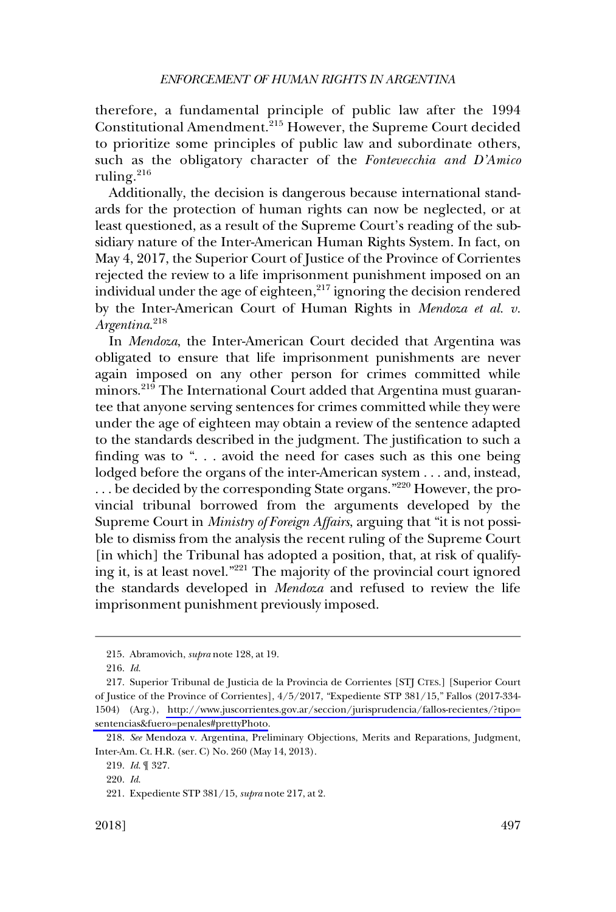therefore, a fundamental principle of public law after the 1994 Constitutional Amendment.215 However, the Supreme Court decided to prioritize some principles of public law and subordinate others, such as the obligatory character of the *Fontevecchia and D'Amico*  ruling.<sup>216</sup>

Additionally, the decision is dangerous because international standards for the protection of human rights can now be neglected, or at least questioned, as a result of the Supreme Court's reading of the subsidiary nature of the Inter-American Human Rights System. In fact, on May 4, 2017, the Superior Court of Justice of the Province of Corrientes rejected the review to a life imprisonment punishment imposed on an individual under the age of eighteen,<sup>217</sup> ignoring the decision rendered by the Inter-American Court of Human Rights in *Mendoza et al. v. Argentina*. 218

In *Mendoza*, the Inter-American Court decided that Argentina was obligated to ensure that life imprisonment punishments are never again imposed on any other person for crimes committed while minors.<sup>219</sup> The International Court added that Argentina must guarantee that anyone serving sentences for crimes committed while they were under the age of eighteen may obtain a review of the sentence adapted to the standards described in the judgment. The justification to such a finding was to ". . . avoid the need for cases such as this one being lodged before the organs of the inter-American system . . . and, instead, . . . be decided by the corresponding State organs."220 However, the provincial tribunal borrowed from the arguments developed by the Supreme Court in *Ministry of Foreign Affairs*, arguing that "it is not possible to dismiss from the analysis the recent ruling of the Supreme Court [in which] the Tribunal has adopted a position, that, at risk of qualifying it, is at least novel."221 The majority of the provincial court ignored the standards developed in *Mendoza* and refused to review the life imprisonment punishment previously imposed.

<sup>215.</sup> Abramovich, *supra* note 128, at 19.

<sup>216.</sup> *Id*.

<sup>217.</sup> Superior Tribunal de Justicia de la Provincia de Corrientes [STJ CTES.] [Superior Court of Justice of the Province of Corrientes], 4/5/2017, "Expediente STP 381/15," Fallos (2017-334- 1504) (Arg.), [http://www.juscorrientes.gov.ar/seccion/jurisprudencia/fallos-recientes/?tipo=](http://www.juscorrientes.gov.ar/seccion/jurisprudencia/fallos-recientes/?tipo=sentencias&fuero=penales#prettyPhoto) [sentencias&fuero=penales#prettyPhoto.](http://www.juscorrientes.gov.ar/seccion/jurisprudencia/fallos-recientes/?tipo=sentencias&fuero=penales#prettyPhoto)

<sup>218.</sup> *See* Mendoza v. Argentina, Preliminary Objections, Merits and Reparations, Judgment, Inter-Am. Ct. H.R. (ser. C) No. 260 (May 14, 2013).

<sup>219.</sup> *Id*. ¶ 327.

<sup>220.</sup> *Id*.

<sup>221.</sup> Expediente STP 381/15, *supra* note 217, at 2.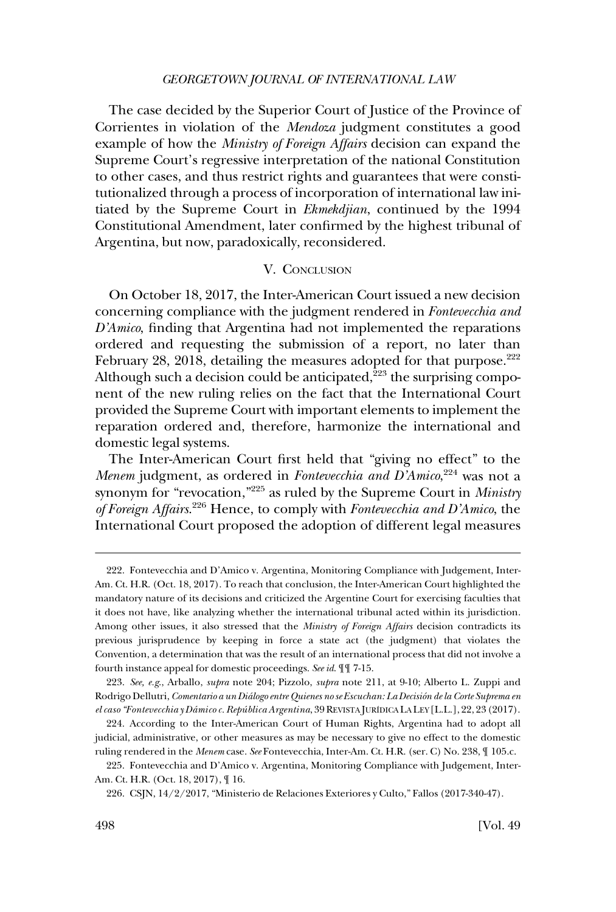<span id="page-37-0"></span>The case decided by the Superior Court of Justice of the Province of Corrientes in violation of the *Mendoza* judgment constitutes a good example of how the *Ministry of Foreign Affairs* decision can expand the Supreme Court's regressive interpretation of the national Constitution to other cases, and thus restrict rights and guarantees that were constitutionalized through a process of incorporation of international law initiated by the Supreme Court in *Ekmekdjian*, continued by the 1994 Constitutional Amendment, later confirmed by the highest tribunal of Argentina, but now, paradoxically, reconsidered.

## V. CONCLUSION

On October 18, 2017, the Inter-American Court issued a new decision concerning compliance with the judgment rendered in *Fontevecchia and D'Amico*, finding that Argentina had not implemented the reparations ordered and requesting the submission of a report, no later than February 28, 2018, detailing the measures adopted for that purpose. $222$ Although such a decision could be anticipated, $^{223}$  the surprising component of the new ruling relies on the fact that the International Court provided the Supreme Court with important elements to implement the reparation ordered and, therefore, harmonize the international and domestic legal systems.

The Inter-American Court first held that "giving no effect" to the *Menem* judgment, as ordered in *Fontevecchia and D'Amico*, 224 was not a synonym for "revocation,"225 as ruled by the Supreme Court in *Ministry of Foreign Affairs*. 226 Hence, to comply with *Fontevecchia and D'Amico*, the International Court proposed the adoption of different legal measures

<sup>222.</sup> Fontevecchia and D'Amico v. Argentina, Monitoring Compliance with Judgement, Inter-Am. Ct. H.R. (Oct. 18, 2017). To reach that conclusion, the Inter-American Court highlighted the mandatory nature of its decisions and criticized the Argentine Court for exercising faculties that it does not have, like analyzing whether the international tribunal acted within its jurisdiction. Among other issues, it also stressed that the *Ministry of Foreign Affairs* decision contradicts its previous jurisprudence by keeping in force a state act (the judgment) that violates the Convention, a determination that was the result of an international process that did not involve a fourth instance appeal for domestic proceedings. *See id*. ¶¶ 7-15.

*See, e.g*., Arballo, *supra* note 204; Pizzolo, *supra* note 211, at 9-10; Alberto L. Zuppi and 223. Rodrigo Dellutri, *Comentario a un Dia´logo entre Quienes no se Escuchan: La Decisio´n de la Corte Suprema en el caso "Fontevecchia y Da´mico c. Repu´ blica Argentina*, 39 REVISTA JURI´DICA LA LEY [L.L.], 22, 23 (2017).

<sup>224.</sup> According to the Inter-American Court of Human Rights, Argentina had to adopt all judicial, administrative, or other measures as may be necessary to give no effect to the domestic ruling rendered in the *Menem* case. *See* Fontevecchia, Inter-Am. Ct. H.R. (ser. C) No. 238, ¶ 105.c.

<sup>225.</sup> Fontevecchia and D'Amico v. Argentina, Monitoring Compliance with Judgement, Inter-Am. Ct. H.R. (Oct. 18, 2017), ¶ 16.

CSJN, 14/2/2017, "Ministerio de Relaciones Exteriores y Culto," Fallos (2017-340-47). 226.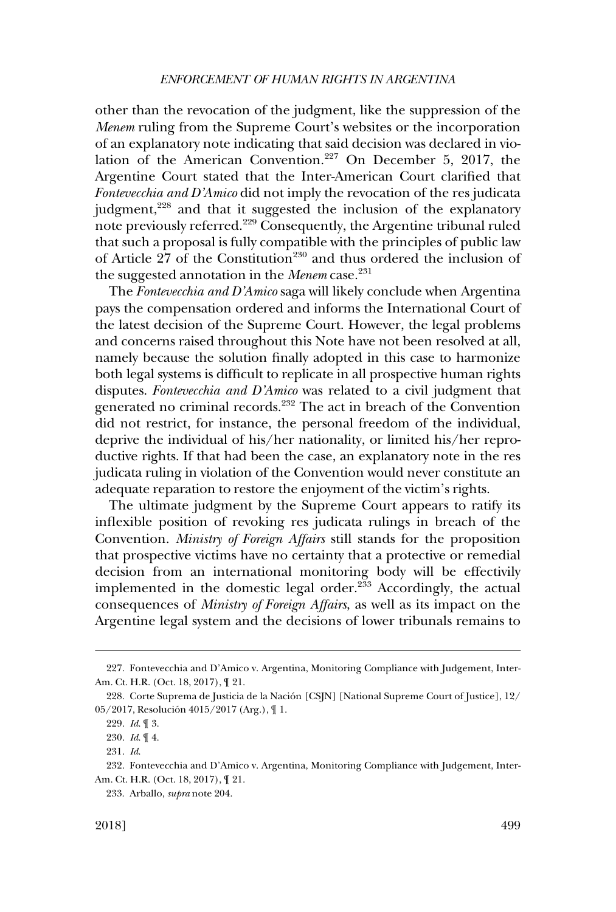other than the revocation of the judgment, like the suppression of the *Menem* ruling from the Supreme Court's websites or the incorporation of an explanatory note indicating that said decision was declared in violation of the American Convention.<sup>227</sup> On December 5, 2017, the Argentine Court stated that the Inter-American Court clarified that *Fontevecchia and D'Amico* did not imply the revocation of the res judicata judgment,<sup>228</sup> and that it suggested the inclusion of the explanatory note previously referred.<sup>229</sup> Consequently, the Argentine tribunal ruled that such a proposal is fully compatible with the principles of public law of Article 27 of the Constitution<sup>230</sup> and thus ordered the inclusion of the suggested annotation in the *Menem* case.<sup>231</sup>

The *Fontevecchia and D'Amico* saga will likely conclude when Argentina pays the compensation ordered and informs the International Court of the latest decision of the Supreme Court. However, the legal problems and concerns raised throughout this Note have not been resolved at all, namely because the solution finally adopted in this case to harmonize both legal systems is difficult to replicate in all prospective human rights disputes. *Fontevecchia and D'Amico* was related to a civil judgment that generated no criminal records.232 The act in breach of the Convention did not restrict, for instance, the personal freedom of the individual, deprive the individual of his/her nationality, or limited his/her reproductive rights. If that had been the case, an explanatory note in the res judicata ruling in violation of the Convention would never constitute an adequate reparation to restore the enjoyment of the victim's rights.

The ultimate judgment by the Supreme Court appears to ratify its inflexible position of revoking res judicata rulings in breach of the Convention. *Ministry of Foreign Affairs* still stands for the proposition that prospective victims have no certainty that a protective or remedial decision from an international monitoring body will be effectivily implemented in the domestic legal order.<sup>233</sup> Accordingly, the actual consequences of *Ministry of Foreign Affairs*, as well as its impact on the Argentine legal system and the decisions of lower tribunals remains to

<sup>227.</sup> Fontevecchia and D'Amico v. Argentina, Monitoring Compliance with Judgement, Inter-Am. Ct. H.R. (Oct. 18, 2017), ¶ 21.

<sup>228.</sup> Corte Suprema de Justicia de la Nación [CSJN] [National Supreme Court of Justice], 12/ 05/2017, Resolución 4015/2017 (Arg.),  $\P$  1.

<sup>229.</sup> *Id*. ¶ 3.

<sup>230.</sup> *Id*. ¶ 4.

<sup>231.</sup> *Id*.

<sup>232.</sup> Fontevecchia and D'Amico v. Argentina, Monitoring Compliance with Judgement, Inter-Am. Ct. H.R. (Oct. 18, 2017), ¶ 21.

<sup>233.</sup> Arballo, *supra* note 204.